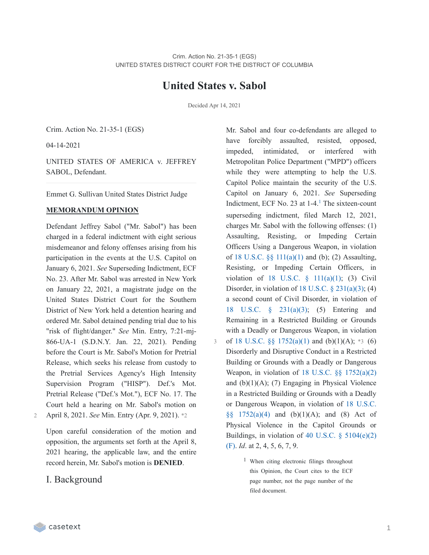# **United States v. Sabol**

Decided Apr 14, 2021

3

Crim. Action No. 21-35-1 (EGS)

04-14-2021

UNITED STATES OF AMERICA v. JEFFREY SABOL, Defendant.

Emmet G. Sullivan United States District Judge

#### **MEMORANDUM OPINION**

Defendant Jeffrey Sabol ("Mr. Sabol") has been charged in a federal indictment with eight serious misdemeanor and felony offenses arising from his participation in the events at the U.S. Capitol on January 6, 2021. *See* Superseding Indictment, ECF No. 23. After Mr. Sabol was arrested in New York on January 22, 2021, a magistrate judge on the United States District Court for the Southern District of New York held a detention hearing and ordered Mr. Sabol detained pending trial due to his "risk of flight/danger." *See* Min. Entry, 7:21-mj-866-UA-1 (S.D.N.Y. Jan. 22, 2021). Pending before the Court is Mr. Sabol's Motion for Pretrial Release, which seeks his release from custody to the Pretrial Services Agency's High Intensity Supervision Program ("HISP"). Def.'s Mot. Pretrial Release ("Def.'s Mot."), ECF No. 17. The Court held a hearing on Mr. Sabol's motion on

2 April 8, 2021. *See* Min. Entry (Apr. 9, 2021). \*2

Upon careful consideration of the motion and opposition, the arguments set forth at the April 8, 2021 hearing, the applicable law, and the entire record herein, Mr. Sabol's motion is **DENIED**.

### I. Background

Mr. Sabol and four co-defendants are alleged to have forcibly assaulted, resisted, opposed, impeded, intimidated, or interfered with Metropolitan Police Department ("MPD") officers while they were attempting to help the U.S. Capitol Police maintain the security of the U.S. Capitol on January 6, 2021. *See* Superseding Indictment, ECF No. 23 at  $1-4$  $1-4$ .<sup>1</sup> The sixteen-count superseding indictment, filed March 12, 2021, charges Mr. Sabol with the following offenses: (1) Assaulting, Resisting, or Impeding Certain Officers Using a Dangerous Weapon, in violation of 18 U.S.C. §§ [111\(a\)\(1\)](https://casetext.com/statute/united-states-code/title-18-crimes-and-criminal-procedure/part-i-crimes/chapter-7-assault/section-111-assaulting-resisting-or-impeding-certain-officers-or-employees) and (b); (2) Assaulting, Resisting, or Impeding Certain Officers, in violation of 18 U.S.C.  $\frac{111(a)(1)}{3}$  Civil Disorder, in violation of  $18$  U.S.C.  $\S$   $231(a)(3)$ ; (4) a second count of Civil Disorder, in violation of 18 U.S.C. § [231\(a\)\(3\);](https://casetext.com/statute/united-states-code/title-18-crimes-and-criminal-procedure/part-i-crimes/chapter-12-civil-disorders/section-231-civil-disorders) (5) Entering and Remaining in a Restricted Building or Grounds with a Deadly or Dangerous Weapon, in violation of 18 U.S.C.  $\S$  [1752\(a\)\(1\)](https://casetext.com/statute/united-states-code/title-18-crimes-and-criminal-procedure/part-i-crimes/chapter-84-presidential-and-presidential-staff-assassination-kidnapping-and-assault/section-1752-restricted-building-or-grounds) and (b)(1)(A); \*3 (6) Disorderly and Disruptive Conduct in a Restricted Building or Grounds with a Deadly or Dangerous Weapon, in violation of 18 U.S.C. §§ [1752\(a\)\(2\)](https://casetext.com/statute/united-states-code/title-18-crimes-and-criminal-procedure/part-i-crimes/chapter-84-presidential-and-presidential-staff-assassination-kidnapping-and-assault/section-1752-restricted-building-or-grounds) and  $(b)(1)(A)$ ; (7) Engaging in Physical Violence in a Restricted Building or Grounds with a Deadly or [Dangerous](https://casetext.com/statute/united-states-code/title-18-crimes-and-criminal-procedure/part-i-crimes/chapter-84-presidential-and-presidential-staff-assassination-kidnapping-and-assault/section-1752-restricted-building-or-grounds) Weapon, in violation of 18 U.S.C.  $§§ 1752(a)(4)$  and  $(b)(1)(A)$ ; and  $(8)$  Act of Physical Violence in the Capitol Grounds or Buildings, in violation of 40 U.S.C.  $\S$  [5104\(e\)\(2\)](https://casetext.com/statute/united-states-code/title-40-public-buildings-property-and-works/subtitle-ii-public-buildings-and-works/part-b-united-states-capitol/chapter-51-united-states-capitol-buildings-and-grounds/section-5104-unlawful-activities) (F). *Id*. at 2, 4, 5, 6, 7, 9.

> <sup>1</sup> When citing electronic filings throughout this Opinion, the Court cites to the ECF page number, not the page number of the filed document.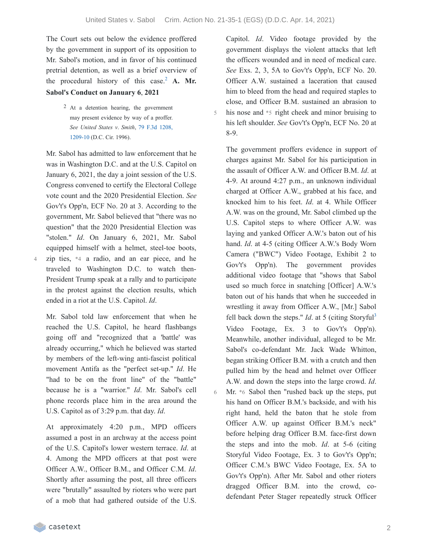6

The Court sets out below the evidence proffered by the government in support of its opposition to Mr. Sabol's motion, and in favor of his continued pretrial detention, as well as a brief overview of the procedural history of this case.<sup>[2](https://casetext.com/_print/doc/united-states-v-sabol-1?_printIncludeHighlights=false&_printIncludeKeyPassages=false&_printIsTwoColumn=true&_printEmail=&_printHighlightsKey=#N196661)</sup> A. Mr. **Sabol's Conduct on January 6**, **2021**

> 2 At a detention hearing, the government may present evidence by way of a proffer. *See United States v*. *Smith*, 79 F.3d 1208, [1209-10](https://casetext.com/case/us-v-smith-507#p1209) (D.C. Cir. 1996).

Mr. Sabol has admitted to law enforcement that he was in Washington D.C. and at the U.S. Capitol on January 6, 2021, the day a joint session of the U.S. Congress convened to certify the Electoral College vote count and the 2020 Presidential Election. *See* Gov't's Opp'n, ECF No. 20 at 3. According to the government, Mr. Sabol believed that "there was no question" that the 2020 Presidential Election was "stolen." *Id*. On January 6, 2021, Mr. Sabol equipped himself with a helmet, steel-toe boots, zip ties, \*4 a radio, and an ear piece, and he traveled to Washington D.C. to watch then-President Trump speak at a rally and to participate in the protest against the election results, which ended in a riot at the U.S. Capitol. *Id*.

Mr. Sabol told law enforcement that when he reached the U.S. Capitol, he heard flashbangs going off and "recognized that a 'battle' was already occurring," which he believed was started by members of the left-wing anti-fascist political movement Antifa as the "perfect set-up." *Id*. He "had to be on the front line" of the "battle" because he is a "warrior." *Id*. Mr. Sabol's cell phone records place him in the area around the U.S. Capitol as of 3:29 p.m. that day. *Id*.

At approximately 4:20 p.m., MPD officers assumed a post in an archway at the access point of the U.S. Capitol's lower western terrace. *Id*. at 4. Among the MPD officers at that post were Officer A.W., Officer B.M., and Officer C.M. *Id*. Shortly after assuming the post, all three officers were "brutally" assaulted by rioters who were part of a mob that had gathered outside of the U.S.

Capitol. *Id*. Video footage provided by the government displays the violent attacks that left the officers wounded and in need of medical care. *See* Exs. 2, 3, 5A to Gov't's Opp'n, ECF No. 20. Officer A.W. sustained a laceration that caused him to bleed from the head and required staples to close, and Officer B.M. sustained an abrasion to his nose and \*5 right cheek and minor bruising to his left shoulder. *See* Gov't's Opp'n, ECF No. 20 at 8-9.

The government proffers evidence in support of charges against Mr. Sabol for his participation in the assault of Officer A.W. and Officer B.M. *Id*. at 4-9. At around 4:27 p.m., an unknown individual charged at Officer A.W., grabbed at his face, and knocked him to his feet. *Id*. at 4. While Officer A.W. was on the ground, Mr. Sabol climbed up the U.S. Capitol steps to where Officer A.W. was laying and yanked Officer A.W.'s baton out of his hand. *Id*. at 4-5 (citing Officer A.W.'s Body Worn Camera ("BWC") Video Footage, Exhibit 2 to Gov't's Opp'n). The government provides additional video footage that "shows that Sabol used so much force in snatching [Officer] A.W.'s baton out of his hands that when he succeeded in wrestling it away from Officer A.W., [Mr.] Sabol fell back down the steps." *Id*. at 5 (citing Storyful<sup>[3](https://casetext.com/_print/doc/united-states-v-sabol-1?_printIncludeHighlights=false&_printIncludeKeyPassages=false&_printIsTwoColumn=true&_printEmail=&_printHighlightsKey=#N196733)</sup> Video Footage, Ex. 3 to Gov't's Opp'n). Meanwhile, another individual, alleged to be Mr. Sabol's co-defendant Mr. Jack Wade Whitton, began striking Officer B.M. with a crutch and then pulled him by the head and helmet over Officer A.W. and down the steps into the large crowd. *Id*. Mr. \*6 Sabol then "rushed back up the steps, put his hand on Officer B.M.'s backside, and with his right hand, held the baton that he stole from Officer A.W. up against Officer B.M.'s neck" before helping drag Officer B.M. face-first down the steps and into the mob. *Id*. at 5-6 (citing Storyful Video Footage, Ex. 3 to Gov't's Opp'n; Officer C.M.'s BWC Video Footage, Ex. 5A to Gov't's Opp'n). After Mr. Sabol and other rioters dragged Officer B.M. into the crowd, codefendant Peter Stager repeatedly struck Officer

casetext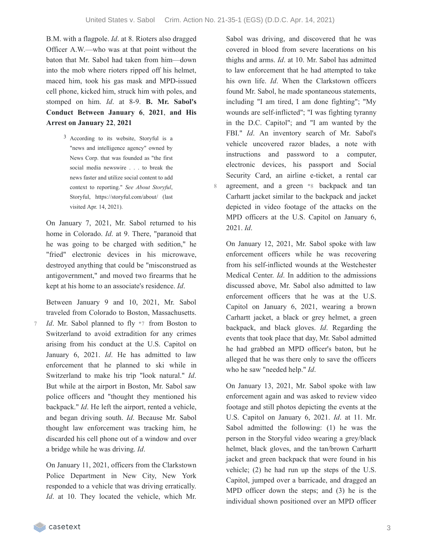B.M. with a flagpole. *Id*. at 8. Rioters also dragged Officer A.W.—who was at that point without the baton that Mr. Sabol had taken from him—down into the mob where rioters ripped off his helmet, maced him, took his gas mask and MPD-issued cell phone, kicked him, struck him with poles, and stomped on him. *Id*. at 8-9. **B. Mr. Sabol's Conduct Between January 6**, **2021**, **and His Arrest on January 22**, **2021**

> 3 According to its website, Storyful is a "news and intelligence agency" owned by News Corp. that was founded as "the first social media newswire . . . to break the news faster and utilize social content to add context to reporting." *See About Storyful*, Storyful, https://storyful.com/about/ (last visited Apr. 14, 2021).

On January 7, 2021, Mr. Sabol returned to his home in Colorado. *Id*. at 9. There, "paranoid that he was going to be charged with sedition," he "fried" electronic devices in his microwave, destroyed anything that could be "misconstrued as antigovernment," and moved two firearms that he kept at his home to an associate's residence. *Id*.

Between January 9 and 10, 2021, Mr. Sabol traveled from Colorado to Boston, Massachusetts. *Id*. Mr. Sabol planned to fly \*7 from Boston to Switzerland to avoid extradition for any crimes arising from his conduct at the U.S. Capitol on January 6, 2021. *Id*. He has admitted to law enforcement that he planned to ski while in Switzerland to make his trip "look natural." *Id*. But while at the airport in Boston, Mr. Sabol saw police officers and "thought they mentioned his backpack." *Id*. He left the airport, rented a vehicle, and began driving south. *Id*. Because Mr. Sabol thought law enforcement was tracking him, he discarded his cell phone out of a window and over a bridge while he was driving. *Id*. 7

On January 11, 2021, officers from the Clarkstown Police Department in New City, New York responded to a vehicle that was driving erratically. *Id*. at 10. They located the vehicle, which Mr.

Sabol was driving, and discovered that he was covered in blood from severe lacerations on his thighs and arms. *Id*. at 10. Mr. Sabol has admitted to law enforcement that he had attempted to take his own life. *Id*. When the Clarkstown officers found Mr. Sabol, he made spontaneous statements, including "I am tired, I am done fighting"; "My wounds are self-inflicted"; "I was fighting tyranny in the D.C. Capitol"; and "I am wanted by the FBI." *Id*. An inventory search of Mr. Sabol's vehicle uncovered razor blades, a note with instructions and password to a computer, electronic devices, his passport and Social Security Card, an airline e-ticket, a rental car agreement, and a green \*8 backpack and tan Carhartt jacket similar to the backpack and jacket depicted in video footage of the attacks on the MPD officers at the U.S. Capitol on January 6, 2021. *Id*.

On January 12, 2021, Mr. Sabol spoke with law enforcement officers while he was recovering from his self-inflicted wounds at the Westchester Medical Center. *Id*. In addition to the admissions discussed above, Mr. Sabol also admitted to law enforcement officers that he was at the U.S. Capitol on January 6, 2021, wearing a brown Carhartt jacket, a black or grey helmet, a green backpack, and black gloves. *Id*. Regarding the events that took place that day, Mr. Sabol admitted he had grabbed an MPD officer's baton, but he alleged that he was there only to save the officers who he saw "needed help." *Id*.

On January 13, 2021, Mr. Sabol spoke with law enforcement again and was asked to review video footage and still photos depicting the events at the U.S. Capitol on January 6, 2021. *Id*. at 11. Mr. Sabol admitted the following: (1) he was the person in the Storyful video wearing a grey/black helmet, black gloves, and the tan/brown Carhartt jacket and green backpack that were found in his vehicle; (2) he had run up the steps of the U.S. Capitol, jumped over a barricade, and dragged an MPD officer down the steps; and (3) he is the individual shown positioned over an MPD officer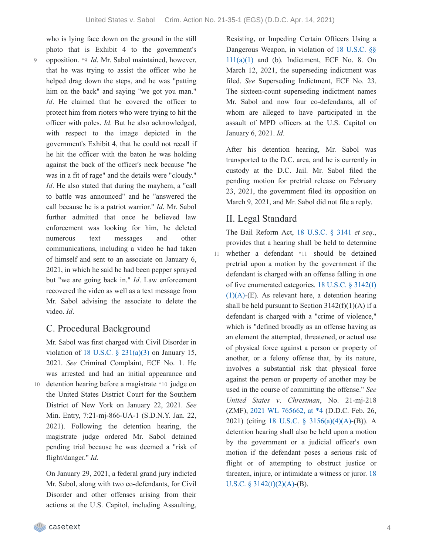who is lying face down on the ground in the still photo that is Exhibit 4 to the government's opposition. \*9 *Id*. Mr. Sabol maintained, however, that he was trying to assist the officer who he helped drag down the steps, and he was "patting him on the back" and saying "we got you man." *Id*. He claimed that he covered the officer to protect him from rioters who were trying to hit the officer with poles. *Id*. But he also acknowledged, with respect to the image depicted in the government's Exhibit 4, that he could not recall if he hit the officer with the baton he was holding against the back of the officer's neck because "he was in a fit of rage" and the details were "cloudy." *Id*. He also stated that during the mayhem, a "call to battle was announced" and he "answered the call because he is a patriot warrior." *Id*. Mr. Sabol further admitted that once he believed law enforcement was looking for him, he deleted numerous text messages and other communications, including a video he had taken of himself and sent to an associate on January 6, 2021, in which he said he had been pepper sprayed but "we are going back in." *Id*. Law enforcement recovered the video as well as a text message from Mr. Sabol advising the associate to delete the video. *Id*.

# C. Procedural Background

Mr. Sabol was first charged with Civil Disorder in violation of 18 U.S.C.  $\S$  [231\(a\)\(3\)](https://casetext.com/statute/united-states-code/title-18-crimes-and-criminal-procedure/part-i-crimes/chapter-12-civil-disorders/section-231-civil-disorders) on January 15, 2021. *See* Criminal Complaint, ECF No. 1. He was arrested and had an initial appearance and detention hearing before a magistrate \*10 judge on the United States District Court for the Southern District of New York on January 22, 2021. *See* Min. Entry, 7:21-mj-866-UA-1 (S.D.N.Y. Jan. 22, 2021). Following the detention hearing, the magistrate judge ordered Mr. Sabol detained pending trial because he was deemed a "risk of flight/danger." *Id*.

On January 29, 2021, a federal grand jury indicted Mr. Sabol, along with two co-defendants, for Civil Disorder and other offenses arising from their actions at the U.S. Capitol, including Assaulting, Resisting, or Impeding Certain Officers Using a Dangerous Weapon, in violation of 18 U.S.C. §§  $111(a)(1)$  and (b). [Indictment,](https://casetext.com/statute/united-states-code/title-18-crimes-and-criminal-procedure/part-i-crimes/chapter-7-assault/section-111-assaulting-resisting-or-impeding-certain-officers-or-employees) ECF No. 8. On March 12, 2021, the superseding indictment was filed. *See* Superseding Indictment, ECF No. 23. The sixteen-count superseding indictment names Mr. Sabol and now four co-defendants, all of whom are alleged to have participated in the assault of MPD officers at the U.S. Capitol on January 6, 2021. *Id*.

After his detention hearing, Mr. Sabol was transported to the D.C. area, and he is currently in custody at the D.C. Jail. Mr. Sabol filed the pending motion for pretrial release on February 23, 2021, the government filed its opposition on March 9, 2021, and Mr. Sabol did not file a reply.

### II. Legal Standard

11

The Bail Reform Act, 18 [U.S.C.](https://casetext.com/statute/united-states-code/title-18-crimes-and-criminal-procedure/part-ii-criminal-procedure/chapter-207-release-and-detention-pending-judicial-proceedings/section-3141-release-and-detention-authority-generally) § 3141 *et seq*., provides that a hearing shall be held to determine whether a defendant \*11 should be detained pretrial upon a motion by the government if the defendant is charged with an offense falling in one of five [enumerated](https://casetext.com/statute/united-states-code/title-18-crimes-and-criminal-procedure/part-ii-criminal-procedure/chapter-207-release-and-detention-pending-judicial-proceedings/section-3142-release-or-detention-of-a-defendant-pending-trial) categories. 18 U.S.C. § 3142(f) (1)(A)-(E). As relevant here, a detention hearing shall be held pursuant to Section  $3142(f)(1)(A)$  if a defendant is charged with a "crime of violence," which is "defined broadly as an offense having as an element the attempted, threatened, or actual use of physical force against a person or property of another, or a felony offense that, by its nature, involves a substantial risk that physical force against the person or property of another may be used in the course of committing the offense." *See United States v*. *Chrestman*, No. 21-mj-218 (ZMF), 2021 WL [765662,](https://casetext.com/case/united-states-v-chrestman-2#p4) at \*4 (D.D.C. Feb. 26, 2021) (citing 18 U.S.C. § [3156\(a\)\(4\)\(A\)-](https://casetext.com/statute/united-states-code/title-18-crimes-and-criminal-procedure/part-ii-criminal-procedure/chapter-207-release-and-detention-pending-judicial-proceedings/section-3156-definitions)(B)). A detention hearing shall also be held upon a motion by the government or a judicial officer's own motion if the defendant poses a serious risk of flight or of attempting to obstruct justice or threaten, injure, or intimidate a witness or juror. 18 U.S.C. § 3142 $(f)(2)(A)$ - $(B)$ .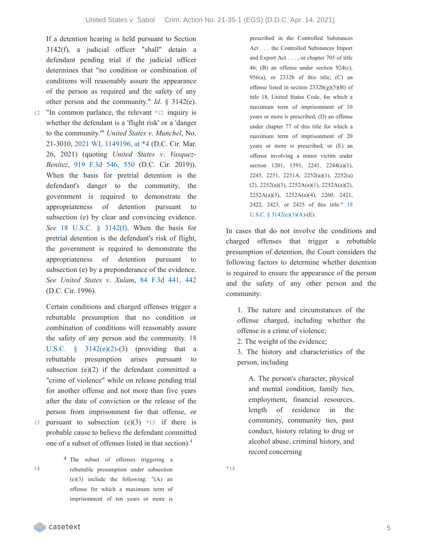If a detention hearing is held pursuant to Section 3142(f), a judicial officer "shall" detain a defendant pending trial if the judicial officer determines that "no condition or combination of conditions will reasonably assure the appearance of the person as required and the safety of any other person and the community." *Id*. § 3142(e).

12 "In common parlance, the relevant \*12 inquiry is whether the defendant is a 'flight risk' or a 'danger to the community.'" *United States v*. *Munchel*, No. 21-3010, 2021 WL [1149196,](https://casetext.com/case/united-states-v-munchel-1#p4) at \*4 (D.C. Cir. Mar. 26, 2021) (quoting *United States v*. *Vasquez-Benitez*, 919 F.3d [546,](https://casetext.com/case/united-states-v-vasquez-benitez-2#p550) 550 (D.C. Cir. 2019)). When the basis for pretrial detention is the defendant's danger to the community, the government is required to demonstrate the appropriateness of detention pursuant to subsection (e) by clear and convincing evidence. *See* 18 U.S.C. § [3142\(f\)](https://casetext.com/statute/united-states-code/title-18-crimes-and-criminal-procedure/part-ii-criminal-procedure/chapter-207-release-and-detention-pending-judicial-proceedings/section-3142-release-or-detention-of-a-defendant-pending-trial). When the basis for pretrial detention is the defendant's risk of flight, the government is required to demonstrate the appropriateness of detention pursuant to subsection (e) by a preponderance of the evidence. *See United States v*. *Xulam*, 84 F.3d [441,](https://casetext.com/case/us-v-xulam#p442) 442 (D.C. Cir. 1996).

Certain conditions and charged offenses trigger a rebuttable presumption that no condition or combination of conditions will reasonably assure the safety of any person and the community. 18 U.S.C.  $\S$  [3142\(e\)\(2\)-\(3\)](https://casetext.com/statute/united-states-code/title-18-crimes-and-criminal-procedure/part-ii-criminal-procedure/chapter-207-release-and-detention-pending-judicial-proceedings/section-3142-release-or-detention-of-a-defendant-pending-trial) (providing that a rebuttable presumption arises pursuant to subsection  $(e)(2)$  if the defendant committed a "crime of violence" while on release pending trial for another offense and not more than five years after the date of conviction or the release of the person from imprisonment for that offense, or pursuant to subsection  $(e)(3)$  \*13 if there is probable cause to believe the defendant committed one of a subset of offenses listed in that section). [4](https://casetext.com/_print/doc/united-states-v-sabol-1?_printIncludeHighlights=false&_printIncludeKeyPassages=false&_printIsTwoColumn=true&_printEmail=&_printHighlightsKey=#N196940)

14

13

4 The subset of offenses triggering a rebuttable presumption under subsection (e)(3) include the following: "(A) an offense for which a maximum term of imprisonment of ten years or more is

prescribed in the Controlled Substances Act . . . the Controlled Substances Import and Export Act . . . , or chapter 705 of title 46; (B) an offense under section 924(c), 956(a), or 2332b of this title; (C) an offense listed in section  $2332b(g)(5)(B)$  of title 18, United States Code, for which a maximum term of imprisonment of 10 years or more is prescribed; (D) an offense under chapter 77 of this title for which a maximum term of imprisonment of 20 years or more is prescribed; or (E) an offense involving a minor victim under section 1201, 1591, 2241, 2244(a)(1), 2245, 2251, 2251A, 2252(a)(1), 2252(a) (2), 2252(a)(3), 2252A(a)(1), 2252A(a)(2), 2252A(a)(3), 2252A(a)(4), 2260, 2421, 2422, 2423, or 2425 of this title." 18 U.S.C. § [3142\(e\)\(3\)\(A\)-\(E\).](https://casetext.com/statute/united-states-code/title-18-crimes-and-criminal-procedure/part-ii-criminal-procedure/chapter-207-release-and-detention-pending-judicial-proceedings/section-3142-release-or-detention-of-a-defendant-pending-trial)

In cases that do not involve the conditions and charged offenses that trigger a rebuttable presumption of detention, the Court considers the following factors to determine whether detention is required to ensure the appearance of the person and the safety of any other person and the community:

1. The nature and circumstances of the offense charged, including whether the offense is a crime of violence;

2. The weight of the evidence;

3. The history and characteristics of the person, including

A. The person's character, physical and mental condition, family ties, employment, financial resources, length of residence in the community, community ties, past conduct, history relating to drug or alcohol abuse, criminal history, and record concerning

\*14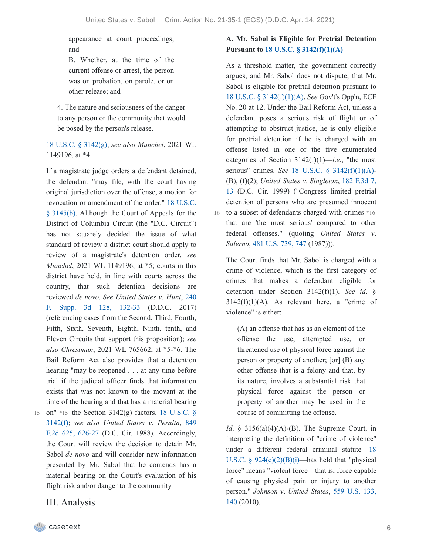appearance at court proceedings; and

B. Whether, at the time of the current offense or arrest, the person was on probation, on parole, or on other release; and

4. The nature and seriousness of the danger to any person or the community that would be posed by the person's release.

18 U.S.C. § [3142\(g\);](https://casetext.com/statute/united-states-code/title-18-crimes-and-criminal-procedure/part-ii-criminal-procedure/chapter-207-release-and-detention-pending-judicial-proceedings/section-3142-release-or-detention-of-a-defendant-pending-trial) *see also Munchel*, 2021 WL 1149196, at \*4.

If a magistrate judge orders a defendant detained, the defendant "may file, with the court having original jurisdiction over the offense, a motion for revocation or [amendment](https://casetext.com/statute/united-states-code/title-18-crimes-and-criminal-procedure/part-ii-criminal-procedure/chapter-207-release-and-detention-pending-judicial-proceedings/section-3145-review-and-appeal-of-a-release-or-detention-order) of the order." 18 U.S.C. § 3145(b). Although the Court of Appeals for the District of Columbia Circuit (the "D.C. Circuit") has not squarely decided the issue of what standard of review a district court should apply to review of a magistrate's detention order, *see Munchel*, 2021 WL 1149196, at \*5; courts in this district have held, in line with courts across the country, that such detention decisions are [reviewed](https://casetext.com/case/united-states-v-hunt-95#p132) *de novo*. *See United States v*. *Hunt*, 240 F. Supp. 3d 128, 132-33 (D.D.C. 2017) (referencing cases from the Second, Third, Fourth, Fifth, Sixth, Seventh, Eighth, Ninth, tenth, and Eleven Circuits that support this proposition); *see also Chrestman*, 2021 WL 765662, at \*5-\*6. The Bail Reform Act also provides that a detention hearing "may be reopened . . . at any time before trial if the judicial officer finds that information exists that was not known to the movant at the time of the hearing and that has a material bearing

- 15 on" \*15 the Section 3142(g) factors. 18 U.S.C. § [3142\(f\);](https://casetext.com/statute/united-states-code/title-18-crimes-and-criminal-procedure/part-ii-criminal-procedure/chapter-207-release-and-detention-pending-judicial-proceedings/section-3142-release-or-detention-of-a-defendant-pending-trial) *see also United States v*. *Peralta*, 849 F.2d 625, 626-27 (D.C. Cir. 1988). [Accordingly,](https://casetext.com/case/us-v-peralta-2#p626) the Court will review the decision to detain Mr. Sabol *de novo* and will consider new information presented by Mr. Sabol that he contends has a material bearing on the Court's evaluation of his flight risk and/or danger to the community.
	- III. Analysis

### **A. Mr. Sabol is Eligible for Pretrial Detention Pursuant to 18 U.S.C. § [3142\(f\)\(1\)\(A\)](https://casetext.com/statute/united-states-code/title-18-crimes-and-criminal-procedure/part-ii-criminal-procedure/chapter-207-release-and-detention-pending-judicial-proceedings/section-3142-release-or-detention-of-a-defendant-pending-trial)**

As a threshold matter, the government correctly argues, and Mr. Sabol does not dispute, that Mr. Sabol is eligible for pretrial detention pursuant to 18 U.S.C. § [3142\(f\)\(1\)\(A\)](https://casetext.com/statute/united-states-code/title-18-crimes-and-criminal-procedure/part-ii-criminal-procedure/chapter-207-release-and-detention-pending-judicial-proceedings/section-3142-release-or-detention-of-a-defendant-pending-trial). *See* Gov't's Opp'n, ECF No. 20 at 12. Under the Bail Reform Act, unless a defendant poses a serious risk of flight or of attempting to obstruct justice, he is only eligible for pretrial detention if he is charged with an offense listed in one of the five enumerated categories of Section  $3142(f)(1)$ —*i.e.*, "the most serious" crimes. *See* 18 U.S.C. § [3142\(f\)\(1\)\(A\)-](https://casetext.com/statute/united-states-code/title-18-crimes-and-criminal-procedure/part-ii-criminal-procedure/chapter-207-release-and-detention-pending-judicial-proceedings/section-3142-release-or-detention-of-a-defendant-pending-trial) (B), (f)(2); *United States v*. *Singleton*, 182 F.3d 7, 13 (D.C. Cir. 1999) [\("Congress](https://casetext.com/case/us-v-singleton-68#p13) limited pretrial detention of persons who are presumed innocent 16 to a subset of defendants charged with crimes \*16 that are 'the most serious' compared to other federal offenses." (quoting *United States v*. *Salerno*, 481 [U.S.](https://casetext.com/case/united-states-v-salerno-7#p747) 739, 747 (1987))).

The Court finds that Mr. Sabol is charged with a crime of violence, which is the first category of crimes that makes a defendant eligible for detention under Section 3142(f)(1). *See id*. §  $3142(f)(1)(A)$ . As relevant here, a "crime of violence" is either:

(A) an offense that has as an element of the offense the use, attempted use, or threatened use of physical force against the person or property of another; [or] (B) any other offense that is a felony and that, by its nature, involves a substantial risk that physical force against the person or property of another may be used in the course of committing the offense.

*Id.* § 3156(a)(4)(A)-(B). The Supreme Court, in interpreting the definition of "crime of violence" under a different federal criminal statute—18 U.S.C.  $\frac{6}{924(e)(2)(B)(i)}$ —has held that "physical force" means "violent force—that is, force capable of causing physical pain or injury to another person." *[Johnson](https://casetext.com/case/johnson-v-us-18#p140) v*. *United States*, 559 U.S. 133, 140 (2010).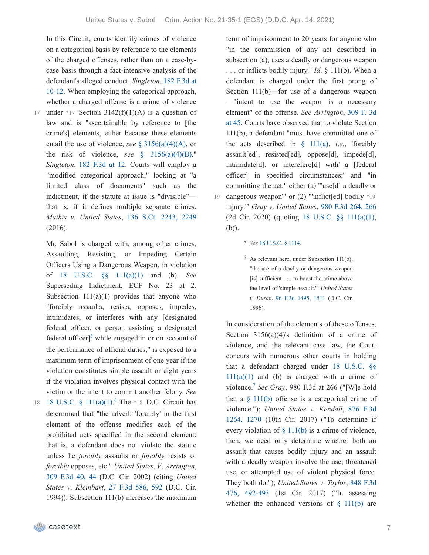In this Circuit, courts identify crimes of violence on a categorical basis by reference to the elements of the charged offenses, rather than on a case-bycase basis through a fact-intensive analysis of the [defendant's](https://casetext.com/case/us-v-singleton-68#p10) alleged conduct. *Singleton*, 182 F.3d at 10-12. When employing the categorical approach, whether a charged offense is a crime of violence under \*17 Section  $3142(f)(1)(A)$  is a question of law and is "ascertainable by reference to [the crime's] elements, either because these elements entail the use of violence, *see* § [3156\(a\)\(4\)\(A\)](https://casetext.com/statute/united-states-code/title-18-crimes-and-criminal-procedure/part-ii-criminal-procedure/chapter-207-release-and-detention-pending-judicial-proceedings/section-3156-definitions), or

17

the risk of violence, *see*  $\frac{8}{9}$  [3156\(a\)\(4\)\(B\).](https://casetext.com/statute/united-states-code/title-18-crimes-and-criminal-procedure/part-ii-criminal-procedure/chapter-207-release-and-detention-pending-judicial-proceedings/section-3156-definitions)" *Singleton*, 182 [F.3d](https://casetext.com/case/us-v-singleton-68#p12) at 12. Courts will employ a "modified categorical approach," looking at "a limited class of documents" such as the indictment, if the statute at issue is "divisible" that is, if it defines multiple separate crimes. *Mathis v*. *United States*, 136 S.Ct. [2243,](https://casetext.com/case/mathis-v-united-states-31#p2249) 2249 (2016).

Mr. Sabol is charged with, among other crimes, Assaulting, Resisting, or Impeding Certain Officers Using a Dangerous Weapon, in violation of 18 U.S.C. §§ [111\(a\)\(1\)](https://casetext.com/statute/united-states-code/title-18-crimes-and-criminal-procedure/part-i-crimes/chapter-7-assault/section-111-assaulting-resisting-or-impeding-certain-officers-or-employees) and (b). *See* Superseding Indictment, ECF No. 23 at 2. Subsection  $111(a)(1)$  provides that anyone who "forcibly assaults, resists, opposes, impedes, intimidates, or interferes with any [designated federal officer, or person assisting a designated federal officer]<sup>[5](https://casetext.com/_print/doc/united-states-v-sabol-1?_printIncludeHighlights=false&_printIncludeKeyPassages=false&_printIsTwoColumn=true&_printEmail=&_printHighlightsKey=#N197090)</sup> while engaged in or on account of the performance of official duties," is exposed to a maximum term of imprisonment of one year if the violation constitutes simple assault or eight years if the violation involves physical contact with the victim or the intent to commit another felony. *See*

18 18 U.S.C. §  $111(a)(1)$ .<sup>[6](https://casetext.com/_print/doc/united-states-v-sabol-1?_printIncludeHighlights=false&_printIncludeKeyPassages=false&_printIsTwoColumn=true&_printEmail=&_printHighlightsKey=#N197098)</sup> The \*18 D.C. Circuit has determined that "the adverb 'forcibly' in the first element of the offense modifies each of the prohibited acts specified in the second element: that is, a defendant does not violate the statute unless he *forcibly* assaults or *forcibly* resists or *forcibly* opposes, etc." *United States*. *V*. *Arrington*, 309 [F.3d](https://casetext.com/case/us-v-arrington-17#p44) 40, 44 (D.C. Cir. 2002) (citing *United States v*. *Kleinbart*, 27 F.3d [586,](https://casetext.com/case/us-v-kleinbart#p592) 592 (D.C. Cir. 1994)). Subsection 111(b) increases the maximum

term of imprisonment to 20 years for anyone who "in the commission of any act described in subsection (a), uses a deadly or dangerous weapon . . . or inflicts bodily injury." *Id*. § 111(b). When a defendant is charged under the first prong of Section 111(b)—for use of a dangerous weapon —"intent to use the weapon is a necessary element" of the offense. *See [Arrington](https://casetext.com/case/us-v-arrington-17#p45)*, 309 F. 3d at 45. Courts have observed that to violate Section 111(b), a defendant "must have committed one of the acts described in  $\{111(a), i.e., \text{ 'forcibly} \}$  $\{111(a), i.e., \text{ 'forcibly} \}$  $\{111(a), i.e., \text{ 'forcibly} \}$ assault[ed], resisted[ed], oppose[d], impede[d], intimidate[d], or interefere[d] with' a [federal officer] in specified circumstances;' and "in committing the act," either (a) "'use[d] a deadly or dangerous weapon'" or (2) "'inflict[ed] bodily \*19 injury.'" *Gray v*. *United States*, 980 F.3d [264,](https://casetext.com/case/gray-v-united-states-192#p266) 266 (2d Cir. 2020) (quoting 18 U.S.C. §§ [111\(a\)\(1\),](https://casetext.com/statute/united-states-code/title-18-crimes-and-criminal-procedure/part-i-crimes/chapter-7-assault/section-111-assaulting-resisting-or-impeding-certain-officers-or-employees) (b)).

#### 5 *See* 18 [U.S.C.](https://casetext.com/statute/united-states-code/title-18-crimes-and-criminal-procedure/part-i-crimes/chapter-51-homicide/section-1114-protection-of-officers-and-employees-of-the-united-states) § 1114.

6 As relevant here, under Subsection 111(b), "the use of a deadly or dangerous weapon [is] sufficient . . . to boost the crime above the level of 'simple assault.'" *United States v*. *Duran*, 96 F.3d [1495,](https://casetext.com/case/united-states-v-duran-2#p1511) 1511 (D.C. Cir. 1996).

In consideration of the elements of these offenses, Section 3156(a)(4)'s definition of a crime of violence, and the relevant case law, the Court concurs with numerous other courts in holding that a [defendant](https://casetext.com/statute/united-states-code/title-18-crimes-and-criminal-procedure/part-i-crimes/chapter-7-assault/section-111-assaulting-resisting-or-impeding-certain-officers-or-employees) charged under 18 U.S.C. §§  $111(a)(1)$  and (b) is charged with a crime of violence.<sup>[7](https://casetext.com/_print/doc/united-states-v-sabol-1?_printIncludeHighlights=false&_printIncludeKeyPassages=false&_printIsTwoColumn=true&_printEmail=&_printHighlightsKey=#N197155)</sup> See Gray, 980 F.3d at 266 ("[W]e hold that a  $\S$  [111\(b\)](https://casetext.com/statute/united-states-code/title-18-crimes-and-criminal-procedure/part-i-crimes/chapter-7-assault/section-111-assaulting-resisting-or-impeding-certain-officers-or-employees) offense is a categorical crime of [violence."\);](https://casetext.com/case/united-states-v-kendall-11#p1270) *United States v*. *Kendall*, 876 F.3d 1264, 1270 (10th Cir. 2017) ("To determine if every violation of  $\S$  [111\(b\)](https://casetext.com/statute/united-states-code/title-18-crimes-and-criminal-procedure/part-i-crimes/chapter-7-assault/section-111-assaulting-resisting-or-impeding-certain-officers-or-employees) is a crime of violence, then, we need only determine whether both an assault that causes bodily injury and an assault with a deadly weapon involve the use, threatened use, or attempted use of violent physical force. They both do."); *United States v*. *Taylor*, 848 F.3d 476, 492-493 (1st Cir. 2017) ("In [assessing](https://casetext.com/case/united-states-v-taylor-907#p492) whether the enhanced versions of  $\S$  [111\(b\)](https://casetext.com/statute/united-states-code/title-18-crimes-and-criminal-procedure/part-i-crimes/chapter-7-assault/section-111-assaulting-resisting-or-impeding-certain-officers-or-employees) are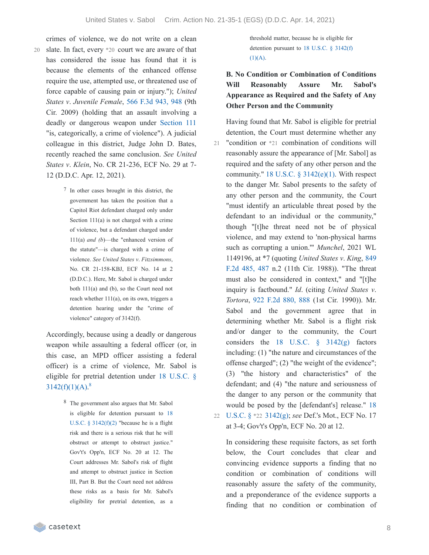- crimes of violence, we do not write on a clean slate. In fact, every \*20 court we are aware of that 20 has considered the issue has found that it is because the elements of the enhanced offense require the use, attempted use, or threatened use of force capable of causing pain or injury."); *United States v*. *Juvenile Female*, 566 F.3d [943,](https://casetext.com/case/us-v-juvenile-female-4#p948) 948 (9th Cir. 2009) (holding that an assault involving a deadly or dangerous weapon under [Section](https://casetext.com/statute/united-states-code/title-18-crimes-and-criminal-procedure/part-i-crimes/chapter-7-assault/section-111-assaulting-resisting-or-impeding-certain-officers-or-employees) 111 "is, categorically, a crime of violence"). A judicial colleague in this district, Judge John D. Bates, recently reached the same conclusion. *See United States v*. *Klein*, No. CR 21-236, ECF No. 29 at 7- 12 (D.D.C. Apr. 12, 2021).
	- 7 In other cases brought in this district, the government has taken the position that a Capitol Riot defendant charged only under Section 111(a) is not charged with a crime of violence, but a defendant charged under 111(a) *and (b*)—the "enhanced version of the statute"—is charged with a crime of violence. *See United States v*. *Fitzsimmons*, No. CR 21-158-KBJ, ECF No. 14 at 2 (D.D.C.). Here, Mr. Sabol is charged under both 111(a) and (b), so the Court need not reach whether 111(a), on its own, triggers a detention hearing under the "crime of violence" category of 3142(f).

Accordingly, because using a deadly or dangerous weapon while assaulting a federal officer (or, in this case, an MPD officer assisting a federal officer) is a crime of violence, Mr. Sabol is eligible for pretrial detention under 18 U.S.C. §  $3142(f)(1)(A).$ <sup>[8](https://casetext.com/_print/doc/united-states-v-sabol-1?_printIncludeHighlights=false&_printIncludeKeyPassages=false&_printIsTwoColumn=true&_printEmail=&_printHighlightsKey=#N197193)</sup>

> 8 The government also argues that Mr. Sabol is eligible for detention pursuant to 18 U.S.C.  $\S$  [3142\(f\)\(2\)](https://casetext.com/statute/united-states-code/title-18-crimes-and-criminal-procedure/part-ii-criminal-procedure/chapter-207-release-and-detention-pending-judicial-proceedings/section-3142-release-or-detention-of-a-defendant-pending-trial) "because he is a flight risk and there is a serious risk that he will obstruct or attempt to obstruct justice." Gov't's Opp'n, ECF No. 20 at 12. The Court addresses Mr. Sabol's risk of flight and attempt to obstruct justice in Section III, Part B. But the Court need not address these risks as a basis for Mr. Sabol's eligibility for pretrial detention, as a

threshold matter, because he is eligible for [detention](https://casetext.com/statute/united-states-code/title-18-crimes-and-criminal-procedure/part-ii-criminal-procedure/chapter-207-release-and-detention-pending-judicial-proceedings/section-3142-release-or-detention-of-a-defendant-pending-trial) pursuant to 18 U.S.C. § 3142(f)  $(1)(A).$ 

# **B. No Condition or Combination of Conditions Will Reasonably Assure Mr. Sabol's Appearance as Required and the Safety of Any Other Person and the Community**

Having found that Mr. Sabol is eligible for pretrial detention, the Court must determine whether any "condition or \*21 combination of conditions will reasonably assure the appearance of [Mr. Sabol] as required and the safety of any other person and the community." 18 U.S.C.  $\S$  [3142\(e\)\(1\).](https://casetext.com/statute/united-states-code/title-18-crimes-and-criminal-procedure/part-ii-criminal-procedure/chapter-207-release-and-detention-pending-judicial-proceedings/section-3142-release-or-detention-of-a-defendant-pending-trial) With respect to the danger Mr. Sabol presents to the safety of any other person and the community, the Court "must identify an articulable threat posed by the defendant to an individual or the community," though "[t]he threat need not be of physical violence, and may extend to 'non-physical harms such as corrupting a union.'" *Munchel*, 2021 WL [1149196,](https://casetext.com/case/us-v-king-304#p487) at \*7 (quoting *United States v*. *King*, 849 F.2d 485, 487 n.2 (11th Cir. 1988)). "The threat must also be considered in context," and "[t]he inquiry is factbound." *Id*. (citing *United States v*. *Tortora*, 922 F.2d [880,](https://casetext.com/case/us-v-tortora-3#p888) 888 (1st Cir. 1990)). Mr. Sabol and the government agree that in determining whether Mr. Sabol is a flight risk and/or danger to the community, the Court considers the 18 U.S.C.  $\frac{8}{9}$  [3142\(g\)](https://casetext.com/statute/united-states-code/title-18-crimes-and-criminal-procedure/part-ii-criminal-procedure/chapter-207-release-and-detention-pending-judicial-proceedings/section-3142-release-or-detention-of-a-defendant-pending-trial) factors including: (1) "the nature and circumstances of the offense charged"; (2) "the weight of the evidence"; (3) "the history and characteristics" of the defendant; and (4) "the nature and seriousness of the danger to any person or the community that would be posed by the [\[defendant's\]](https://casetext.com/statute/united-states-code/title-18-crimes-and-criminal-procedure/part-ii-criminal-procedure/chapter-207-release-and-detention-pending-judicial-proceedings/section-3142-release-or-detention-of-a-defendant-pending-trial) release." 18 U.S.C. § \*22 3142(g); *see* Def.'s Mot., ECF No. 17 22 at 3-4; Gov't's Opp'n, ECF No. 20 at 12. 21

In considering these requisite factors, as set forth below, the Court concludes that clear and convincing evidence supports a finding that no condition or combination of conditions will reasonably assure the safety of the community, and a preponderance of the evidence supports a finding that no condition or combination of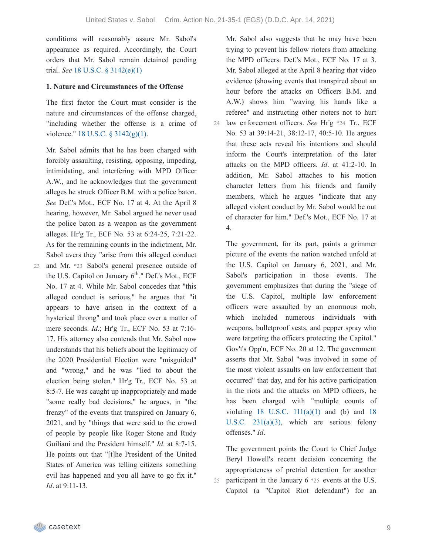conditions will reasonably assure Mr. Sabol's appearance as required. Accordingly, the Court orders that Mr. Sabol remain detained pending trial. *See* 18 U.S.C. § [3142\(e\)\(1\)](https://casetext.com/statute/united-states-code/title-18-crimes-and-criminal-procedure/part-ii-criminal-procedure/chapter-207-release-and-detention-pending-judicial-proceedings/section-3142-release-or-detention-of-a-defendant-pending-trial)

#### **1. Nature and Circumstances of the Offense**

The first factor the Court must consider is the nature and circumstances of the offense charged, "including whether the offense is a crime of violence." 18 U.S.C. § [3142\(g\)\(1\).](https://casetext.com/statute/united-states-code/title-18-crimes-and-criminal-procedure/part-ii-criminal-procedure/chapter-207-release-and-detention-pending-judicial-proceedings/section-3142-release-or-detention-of-a-defendant-pending-trial)

Mr. Sabol admits that he has been charged with forcibly assaulting, resisting, opposing, impeding, intimidating, and interfering with MPD Officer A.W., and he acknowledges that the government alleges he struck Officer B.M. with a police baton. *See* Def.'s Mot., ECF No. 17 at 4. At the April 8 hearing, however, Mr. Sabol argued he never used the police baton as a weapon as the government alleges. Hr'g Tr., ECF No. 53 at 6:24-25, 7:21-22. As for the remaining counts in the indictment, Mr. Sabol avers they "arise from this alleged conduct

23 and Mr. \*23 Sabol's general presence outside of the U.S. Capitol on January 6<sup>th</sup>." Def.'s Mot., ECF No. 17 at 4. While Mr. Sabol concedes that "this alleged conduct is serious," he argues that "it appears to have arisen in the context of a hysterical throng" and took place over a matter of mere seconds. *Id*.; Hr'g Tr., ECF No. 53 at 7:16- 17. His attorney also contends that Mr. Sabol now understands that his beliefs about the legitimacy of the 2020 Presidential Election were "misguided" and "wrong," and he was "lied to about the election being stolen." Hr'g Tr., ECF No. 53 at 8:5-7. He was caught up inappropriately and made "some really bad decisions," he argues, in "the frenzy" of the events that transpired on January 6, 2021, and by "things that were said to the crowd of people by people like Roger Stone and Rudy Guiliani and the President himself." *Id*. at 8:7-15. He points out that "[t]he President of the United States of America was telling citizens something evil has happened and you all have to go fix it." *Id*. at 9:11-13.

Mr. Sabol also suggests that he may have been trying to prevent his fellow rioters from attacking the MPD officers. Def.'s Mot., ECF No. 17 at 3. Mr. Sabol alleged at the April 8 hearing that video evidence (showing events that transpired about an hour before the attacks on Officers B.M. and A.W.) shows him "waving his hands like a referee" and instructing other rioters not to hurt law enforcement officers. *See* Hr'g \*24 Tr., ECF 24 No. 53 at 39:14-21, 38:12-17, 40:5-10. He argues that these acts reveal his intentions and should inform the Court's interpretation of the later attacks on the MPD officers. *Id*. at 41:2-10. In addition, Mr. Sabol attaches to his motion character letters from his friends and family members, which he argues "indicate that any alleged violent conduct by Mr. Sabol would be out of character for him." Def.'s Mot., ECF No. 17 at 4.

The government, for its part, paints a grimmer picture of the events the nation watched unfold at the U.S. Capitol on January 6, 2021, and Mr. Sabol's participation in those events. The government emphasizes that during the "siege of the U.S. Capitol, multiple law enforcement officers were assaulted by an enormous mob, which included numerous individuals with weapons, bulletproof vests, and pepper spray who were targeting the officers protecting the Capitol." Gov't's Opp'n, ECF No. 20 at 12. The government asserts that Mr. Sabol "was involved in some of the most violent assaults on law enforcement that occurred" that day, and for his active participation in the riots and the attacks on MPD officers, he has been charged with "multiple counts of violating  $18$  U.S.C.  $111(a)(1)$  and (b) and  $18$ U.S.C. [231\(a\)\(3\),](https://casetext.com/statute/united-states-code/title-18-crimes-and-criminal-procedure/part-i-crimes/chapter-12-civil-disorders/section-231-civil-disorders) which are serious felony offenses." *Id*.

The government points the Court to Chief Judge Beryl Howell's recent decision concerning the appropriateness of pretrial detention for another participant in the January 6 \*25 events at the U.S. Capitol (a "Capitol Riot defendant") for an  $25$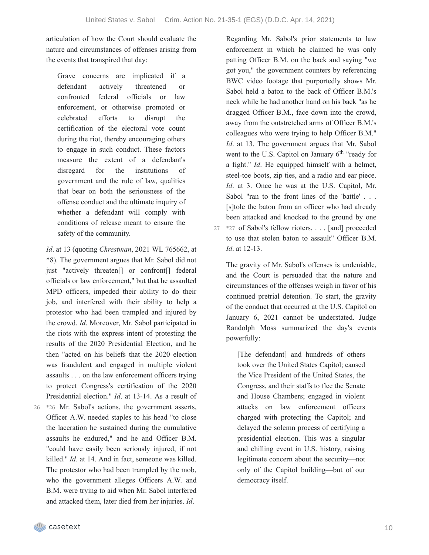articulation of how the Court should evaluate the nature and circumstances of offenses arising from the events that transpired that day:

Grave concerns are implicated if a defendant actively threatened or confronted federal officials or law enforcement, or otherwise promoted or celebrated efforts to disrupt the certification of the electoral vote count during the riot, thereby encouraging others to engage in such conduct. These factors measure the extent of a defendant's disregard for the institutions of government and the rule of law, qualities that bear on both the seriousness of the offense conduct and the ultimate inquiry of whether a defendant will comply with conditions of release meant to ensure the safety of the community.

*Id*. at 13 (quoting *Chrestman*, 2021 WL 765662, at \*8). The government argues that Mr. Sabol did not just "actively threaten[] or confront[] federal officials or law enforcement," but that he assaulted MPD officers, impeded their ability to do their job, and interfered with their ability to help a protestor who had been trampled and injured by the crowd. *Id*. Moreover, Mr. Sabol participated in the riots with the express intent of protesting the results of the 2020 Presidential Election, and he then "acted on his beliefs that the 2020 election was fraudulent and engaged in multiple violent assaults . . . on the law enforcement officers trying to protect Congress's certification of the 2020 Presidential election." *Id*. at 13-14. As a result of \*26 Mr. Sabol's actions, the government asserts, Officer A.W. needed staples to his head "to close the laceration he sustained during the cumulative

26

assaults he endured," and he and Officer B.M. "could have easily been seriously injured, if not killed." *Id*. at 14. And in fact, someone was killed. The protestor who had been trampled by the mob, who the government alleges Officers A.W. and B.M. were trying to aid when Mr. Sabol interfered and attacked them, later died from her injuries. *Id*.

Regarding Mr. Sabol's prior statements to law enforcement in which he claimed he was only patting Officer B.M. on the back and saying "we got you," the government counters by referencing BWC video footage that purportedly shows Mr. Sabol held a baton to the back of Officer B.M.'s neck while he had another hand on his back "as he dragged Officer B.M., face down into the crowd, away from the outstretched arms of Officer B.M.'s colleagues who were trying to help Officer B.M." *Id*. at 13. The government argues that Mr. Sabol went to the U.S. Capitol on January 6<sup>th</sup> "ready for a fight." *Id*. He equipped himself with a helmet, steel-toe boots, zip ties, and a radio and ear piece. *Id*. at 3. Once he was at the U.S. Capitol, Mr. Sabol "ran to the front lines of the 'battle' . . . [s]tole the baton from an officer who had already been attacked and knocked to the ground by one \*27 of Sabol's fellow rioters, . . . [and] proceeded 27 to use that stolen baton to assault" Officer B.M. *Id*. at 12-13.

The gravity of Mr. Sabol's offenses is undeniable, and the Court is persuaded that the nature and circumstances of the offenses weigh in favor of his continued pretrial detention. To start, the gravity of the conduct that occurred at the U.S. Capitol on January 6, 2021 cannot be understated. Judge Randolph Moss summarized the day's events powerfully:

[The defendant] and hundreds of others took over the United States Capitol; caused the Vice President of the United States, the Congress, and their staffs to flee the Senate and House Chambers; engaged in violent attacks on law enforcement officers charged with protecting the Capitol; and delayed the solemn process of certifying a presidential election. This was a singular and chilling event in U.S. history, raising legitimate concern about the security—not only of the Capitol building—but of our democracy itself.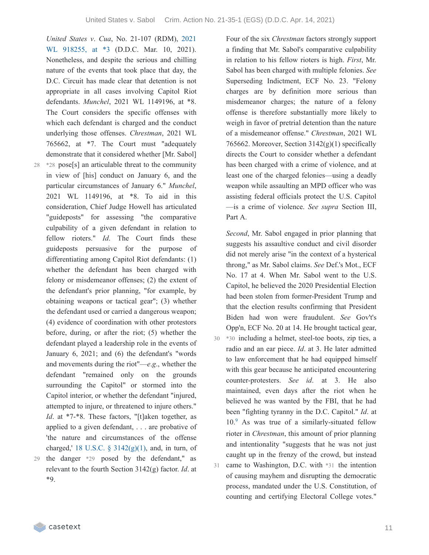*United States v*. *Cua*, No. 21-107 (RDM), 2021 WL [918255,](https://casetext.com/case/united-states-v-cua-3#p3) at \*3 (D.D.C. Mar. 10, 2021). Nonetheless, and despite the serious and chilling nature of the events that took place that day, the D.C. Circuit has made clear that detention is not appropriate in all cases involving Capitol Riot defendants. *Munchel*, 2021 WL 1149196, at \*8. The Court considers the specific offenses with which each defendant is charged and the conduct underlying those offenses. *Chrestman*, 2021 WL 765662, at \*7. The Court must "adequately demonstrate that it considered whether [Mr. Sabol] \*28 pose[s] an articulable threat to the community 28 in view of [his] conduct on January 6, and the particular circumstances of January 6." *Munchel*, 2021 WL 1149196, at \*8. To aid in this consideration, Chief Judge Howell has articulated "guideposts" for assessing "the comparative culpability of a given defendant in relation to fellow rioters." *Id*. The Court finds these guideposts persuasive for the purpose of differentiating among Capitol Riot defendants: (1) whether the defendant has been charged with felony or misdemeanor offenses; (2) the extent of the defendant's prior planning, "for example, by obtaining weapons or tactical gear"; (3) whether the defendant used or carried a dangerous weapon; (4) evidence of coordination with other protestors before, during, or after the riot; (5) whether the defendant played a leadership role in the events of January 6, 2021; and (6) the defendant's "words and movements during the riot"—*e*.*g*., whether the defendant "remained only on the grounds surrounding the Capitol" or stormed into the Capitol interior, or whether the defendant "injured, attempted to injure, or threatened to injure others." *Id*. at \*7-\*8. These factors, "[t]aken together, as applied to a given defendant, . . . are probative of 'the nature and circumstances of the offense charged,' 18 U.S.C.  $\S$  [3142\(g\)\(1\),](https://casetext.com/statute/united-states-code/title-18-crimes-and-criminal-procedure/part-ii-criminal-procedure/chapter-207-release-and-detention-pending-judicial-proceedings/section-3142-release-or-detention-of-a-defendant-pending-trial) and, in turn, of

the danger \*29 posed by the defendant," as 29 relevant to the fourth Section 3142(g) factor. *Id*. at \*9.

Four of the six *Chrestman* factors strongly support a finding that Mr. Sabol's comparative culpability in relation to his fellow rioters is high. *First*, Mr. Sabol has been charged with multiple felonies. *See* Superseding Indictment, ECF No. 23. "Felony charges are by definition more serious than misdemeanor charges; the nature of a felony offense is therefore substantially more likely to weigh in favor of pretrial detention than the nature of a misdemeanor offense." *Chrestman*, 2021 WL 765662. Moreover, Section  $3142(g)(1)$  specifically directs the Court to consider whether a defendant has been charged with a crime of violence, and at least one of the charged felonies—using a deadly weapon while assaulting an MPD officer who was assisting federal officials protect the U.S. Capitol —is a crime of violence. *See supra* Section III, Part A.

*Second*, Mr. Sabol engaged in prior planning that suggests his assaultive conduct and civil disorder did not merely arise "in the context of a hysterical throng," as Mr. Sabol claims. *See* Def.'s Mot., ECF No. 17 at 4. When Mr. Sabol went to the U.S. Capitol, he believed the 2020 Presidential Election had been stolen from former-President Trump and that the election results confirming that President Biden had won were fraudulent. *See* Gov't's Opp'n, ECF No. 20 at 14. He brought tactical gear, \*30 including a helmet, steel-toe boots, zip ties, a 30 radio and an ear piece. *Id*. at 3. He later admitted to law enforcement that he had equipped himself with this gear because he anticipated encountering counter-protesters. *See id*. at 3. He also maintained, even days after the riot when he believed he was wanted by the FBI, that he had been "fighting tyranny in the D.C. Capitol." *Id*. at  $10<sup>9</sup>$  $10<sup>9</sup>$  $10<sup>9</sup>$  As was true of a similarly-situated fellow rioter in *Chrestman*, this amount of prior planning and intentionality "suggests that he was not just caught up in the frenzy of the crowd, but instead came to Washington, D.C. with \*31 the intention of causing mayhem and disrupting the democratic process, mandated under the U.S. Constitution, of counting and certifying Electoral College votes." 31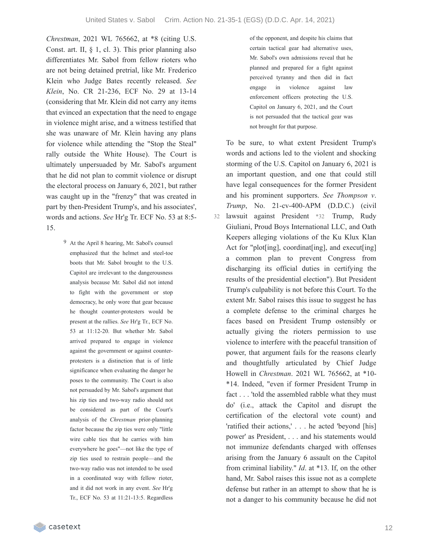*Chrestman*, 2021 WL 765662, at \*8 (citing U.S. Const. art. II, § 1, cl. 3). This prior planning also differentiates Mr. Sabol from fellow rioters who are not being detained pretrial, like Mr. Frederico Klein who Judge Bates recently released. *See Klein*, No. CR 21-236, ECF No. 29 at 13-14 (considering that Mr. Klein did not carry any items that evinced an expectation that the need to engage in violence might arise, and a witness testified that she was unaware of Mr. Klein having any plans for violence while attending the "Stop the Steal" rally outside the White House). The Court is ultimately unpersuaded by Mr. Sabol's argument that he did not plan to commit violence or disrupt the electoral process on January 6, 2021, but rather was caught up in the "frenzy" that was created in part by then-President Trump's, and his associates', words and actions. *See* Hr'g Tr. ECF No. 53 at 8:5- 15.

> 9 At the April 8 hearing, Mr. Sabol's counsel emphasized that the helmet and steel-toe boots that Mr. Sabol brought to the U.S. Capitol are irrelevant to the dangerousness analysis because Mr. Sabol did not intend to fight with the government or stop democracy, he only wore that gear because he thought counter-protesters would be present at the rallies. *See* Hr'g Tr., ECF No. 53 at 11:12-20. But whether Mr. Sabol arrived prepared to engage in violence against the government or against counterprotesters is a distinction that is of little significance when evaluating the danger he poses to the community. The Court is also not persuaded by Mr. Sabol's argument that his zip ties and two-way radio should not be considered as part of the Court's analysis of the *Chrestman* prior-planning factor because the zip ties were only "little wire cable ties that he carries with him everywhere he goes"—not like the type of zip ties used to restrain people—and the two-way radio was not intended to be used in a coordinated way with fellow rioter, and it did not work in any event. *See* Hr'g Tr., ECF No. 53 at 11:21-13:5. Regardless

of the opponent, and despite his claims that certain tactical gear had alternative uses, Mr. Sabol's own admissions reveal that he planned and prepared for a fight against perceived tyranny and then did in fact engage in violence against law enforcement officers protecting the U.S. Capitol on January 6, 2021, and the Court is not persuaded that the tactical gear was not brought for that purpose.

To be sure, to what extent President Trump's words and actions led to the violent and shocking storming of the U.S. Capitol on January 6, 2021 is an important question, and one that could still have legal consequences for the former President and his prominent supporters. *See Thompson v*. *Trump*, No. 21-cv-400-APM (D.D.C.) (civil lawsuit against President \*32 Trump, Rudy Giuliani, Proud Boys International LLC, and Oath Keepers alleging violations of the Ku Klux Klan Act for "plot[ing], coordinat[ing], and execut[ing] a common plan to prevent Congress from discharging its official duties in certifying the results of the presidential election"). But President Trump's culpability is not before this Court. To the extent Mr. Sabol raises this issue to suggest he has a complete defense to the criminal charges he faces based on President Trump ostensibly or actually giving the rioters permission to use violence to interfere with the peaceful transition of power, that argument fails for the reasons clearly and thoughtfully articulated by Chief Judge Howell in *Chrestman*. 2021 WL 765662, at \*10- \*14. Indeed, "even if former President Trump in fact . . . 'told the assembled rabble what they must do' (i.e., attack the Capitol and disrupt the certification of the electoral vote count) and 'ratified their actions,' . . . he acted 'beyond [his] power' as President, . . . and his statements would not immunize defendants charged with offenses arising from the January 6 assault on the Capitol from criminal liability." *Id*. at \*13. If, on the other hand, Mr. Sabol raises this issue not as a complete defense but rather in an attempt to show that he is not a danger to his community because he did not 32

casetext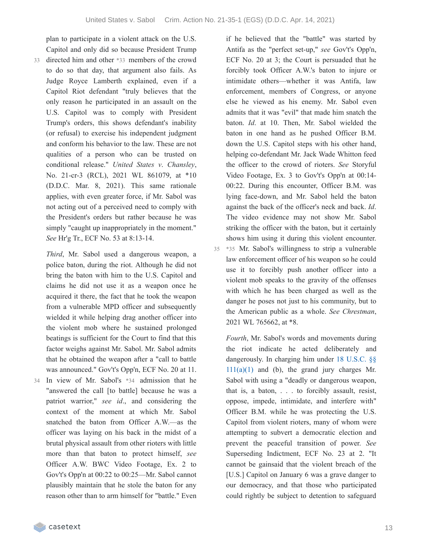plan to participate in a violent attack on the U.S. Capitol and only did so because President Trump

directed him and other \*33 members of the crowd to do so that day, that argument also fails. As Judge Royce Lamberth explained, even if a Capitol Riot defendant "truly believes that the only reason he participated in an assault on the U.S. Capitol was to comply with President Trump's orders, this shows defendant's inability (or refusal) to exercise his independent judgment and conform his behavior to the law. These are not qualities of a person who can be trusted on conditional release." *United States v*. *Chansley*, No. 21-cr-3 (RCL), 2021 WL 861079, at \*10 (D.D.C. Mar. 8, 2021). This same rationale applies, with even greater force, if Mr. Sabol was not acting out of a perceived need to comply with the President's orders but rather because he was simply "caught up inappropriately in the moment." *See* Hr'g Tr., ECF No. 53 at 8:13-14. 33

*Third*, Mr. Sabol used a dangerous weapon, a police baton, during the riot. Although he did not bring the baton with him to the U.S. Capitol and claims he did not use it as a weapon once he acquired it there, the fact that he took the weapon from a vulnerable MPD officer and subsequently wielded it while helping drag another officer into the violent mob where he sustained prolonged beatings is sufficient for the Court to find that this factor weighs against Mr. Sabol. Mr. Sabol admits that he obtained the weapon after a "call to battle was announced." Gov't's Opp'n, ECF No. 20 at 11. In view of Mr. Sabol's \*34 admission that he 34 "answered the call [to battle] because he was a patriot warrior," *see id*., and considering the

context of the moment at which Mr. Sabol snatched the baton from Officer A.W.—as the officer was laying on his back in the midst of a brutal physical assault from other rioters with little more than that baton to protect himself, *see* Officer A.W. BWC Video Footage, Ex. 2 to Gov't's Opp'n at 00:22 to 00:25—Mr. Sabol cannot plausibly maintain that he stole the baton for any reason other than to arm himself for "battle." Even if he believed that the "battle" was started by Antifa as the "perfect set-up," *see* Gov't's Opp'n, ECF No. 20 at 3; the Court is persuaded that he forcibly took Officer A.W.'s baton to injure or intimidate others—whether it was Antifa, law enforcement, members of Congress, or anyone else he viewed as his enemy. Mr. Sabol even admits that it was "evil" that made him snatch the baton. *Id*. at 10. Then, Mr. Sabol wielded the baton in one hand as he pushed Officer B.M. down the U.S. Capitol steps with his other hand, helping co-defendant Mr. Jack Wade Whitton feed the officer to the crowd of rioters. *See* Storyful Video Footage, Ex. 3 to Gov't's Opp'n at 00:14- 00:22. During this encounter, Officer B.M. was lying face-down, and Mr. Sabol held the baton against the back of the officer's neck and back. *Id*. The video evidence may not show Mr. Sabol striking the officer with the baton, but it certainly shows him using it during this violent encounter.

\*35 Mr. Sabol's willingness to strip a vulnerable 35 law enforcement officer of his weapon so he could use it to forcibly push another officer into a violent mob speaks to the gravity of the offenses with which he has been charged as well as the danger he poses not just to his community, but to the American public as a whole. *See Chrestman*, 2021 WL 765662, at \*8.

*Fourth*, Mr. Sabol's words and movements during the riot indicate he acted deliberately and [dangerously.](https://casetext.com/statute/united-states-code/title-18-crimes-and-criminal-procedure/part-i-crimes/chapter-7-assault/section-111-assaulting-resisting-or-impeding-certain-officers-or-employees) In charging him under 18 U.S.C. §§ 111(a)(1) and (b), the grand jury charges Mr. Sabol with using a "deadly or dangerous weapon, that is, a baton, . . . to forcibly assault, resist, oppose, impede, intimidate, and interfere with" Officer B.M. while he was protecting the U.S. Capitol from violent rioters, many of whom were attempting to subvert a democratic election and prevent the peaceful transition of power. *See* Superseding Indictment, ECF No. 23 at 2. "It cannot be gainsaid that the violent breach of the [U.S.] Capitol on January 6 was a grave danger to our democracy, and that those who participated could rightly be subject to detention to safeguard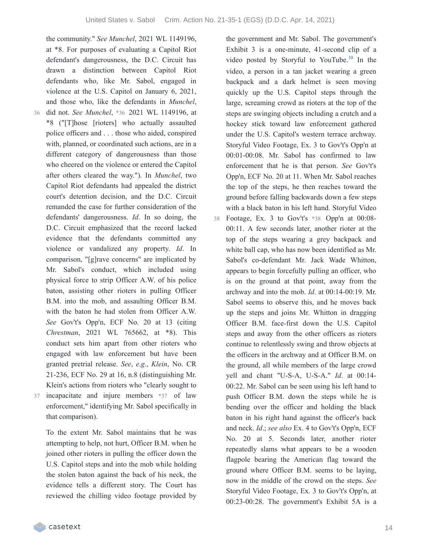the community." *See Munchel*, 2021 WL 1149196, at \*8. For purposes of evaluating a Capitol Riot defendant's dangerousness, the D.C. Circuit has drawn a distinction between Capitol Riot defendants who, like Mr. Sabol, engaged in violence at the U.S. Capitol on January 6, 2021, and those who, like the defendants in *Munchel*, did not. *See Munchel*, \*36 2021 WL 1149196, at \*8 ("[T]hose [rioters] who actually assaulted police officers and . . . those who aided, conspired with, planned, or coordinated such actions, are in a different category of dangerousness than those who cheered on the violence or entered the Capitol after others cleared the way."). In *Munchel*, two Capitol Riot defendants had appealed the district court's detention decision, and the D.C. Circuit remanded the case for further consideration of the defendants' dangerousness. *Id*. In so doing, the D.C. Circuit emphasized that the record lacked evidence that the defendants committed any violence or vandalized any property. *Id*. In comparison, "[g]rave concerns" are implicated by Mr. Sabol's conduct, which included using physical force to strip Officer A.W. of his police baton, assisting other rioters in pulling Officer B.M. into the mob, and assaulting Officer B.M. with the baton he had stolen from Officer A.W. *See* Gov't's Opp'n, ECF No. 20 at 13 (citing *Chrestman*, 2021 WL 765662, at \*8). This conduct sets him apart from other rioters who engaged with law enforcement but have been granted pretrial release. *See*, *e*.*g*., *Klein*, No. CR 21-236, ECF No. 29 at 16, n.8 (distinguishing Mr. Klein's actions from rioters who "clearly sought to 37 incapacitate and injure members \*37 of law

36

enforcement," identifying Mr. Sabol specifically in that comparison).

To the extent Mr. Sabol maintains that he was attempting to help, not hurt, Officer B.M. when he joined other rioters in pulling the officer down the U.S. Capitol steps and into the mob while holding the stolen baton against the back of his neck, the evidence tells a different story. The Court has reviewed the chilling video footage provided by

the government and Mr. Sabol. The government's Exhibit 3 is a one-minute, 41-second clip of a video posted by Storyful to YouTube. $10$  In the video, a person in a tan jacket wearing a green backpack and a dark helmet is seen moving quickly up the U.S. Capitol steps through the large, screaming crowd as rioters at the top of the steps are swinging objects including a crutch and a hockey stick toward law enforcement gathered under the U.S. Capitol's western terrace archway. Storyful Video Footage, Ex. 3 to Gov't's Opp'n at 00:01-00:08. Mr. Sabol has confirmed to law enforcement that he is that person. *See* Gov't's Opp'n, ECF No. 20 at 11. When Mr. Sabol reaches the top of the steps, he then reaches toward the ground before falling backwards down a few steps with a black baton in his left hand. Storyful Video Footage, Ex. 3 to Gov't's \*38 Opp'n at 00:08- 00:11. A few seconds later, another rioter at the top of the steps wearing a grey backpack and white ball cap, who has now been identified as Mr. Sabol's co-defendant Mr. Jack Wade Whitton, appears to begin forcefully pulling an officer, who is on the ground at that point, away from the archway and into the mob. *Id*. at 00:14-00:19. Mr. Sabol seems to observe this, and he moves back up the steps and joins Mr. Whitton in dragging Officer B.M. face-first down the U.S. Capitol steps and away from the other officers as rioters continue to relentlessly swing and throw objects at the officers in the archway and at Officer B.M. on the ground, all while members of the large crowd yell and chant "U-S-A, U-S-A." *Id*. at 00:14- 00:22. Mr. Sabol can be seen using his left hand to push Officer B.M. down the steps while he is bending over the officer and holding the black baton in his right hand against the officer's back and neck. *Id*.; *see also* Ex. 4 to Gov't's Opp'n, ECF No. 20 at 5. Seconds later, another rioter repeatedly slams what appears to be a wooden flagpole bearing the American flag toward the ground where Officer B.M. seems to be laying, now in the middle of the crowd on the steps. *See* Storyful Video Footage, Ex. 3 to Gov't's Opp'n, at 00:23-00:28. The government's Exhibit 5A is a 38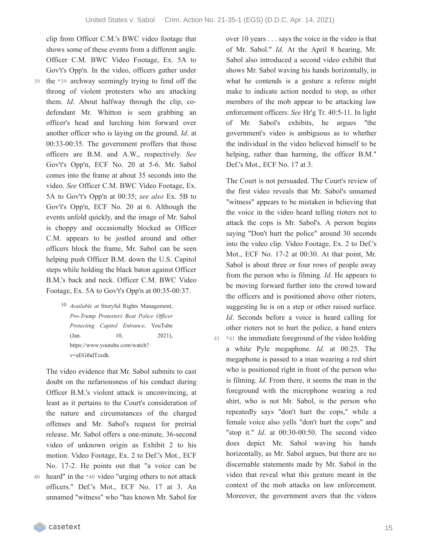shows some of these events from a different angle. Officer C.M. BWC Video Footage, Ex. 5A to Gov't's Opp'n. In the video, officers gather under the \*39 archway seemingly trying to fend off the throng of violent protesters who are attacking them. *Id*. About halfway through the clip, codefendant Mr. Whitton is seen grabbing an officer's head and lurching him forward over another officer who is laying on the ground. *Id*. at 00:33-00:35. The government proffers that those officers are B.M. and A.W., respectively. *See* Gov't's Opp'n, ECF No. 20 at 5-6. Mr. Sabol comes into the frame at about 35 seconds into the video. *See* Officer C.M. BWC Video Footage, Ex. 5A to Gov't's Opp'n at 00:35; *see also* Ex. 5B to Gov't's Opp'n, ECF No. 20 at 6. Although the events unfold quickly, and the image of Mr. Sabol is choppy and occasionally blocked as Officer C.M. appears to be jostled around and other officers block the frame, Mr. Sabol can be seen helping push Officer B.M. down the U.S. Capitol steps while holding the black baton against Officer B.M.'s back and neck. Officer C.M. BWC Video Footage, Ex. 5A to Gov't's Opp'n at 00:35-00:37.

clip from Officer C.M.'s BWC video footage that

10 *Available at* Storyful Rights Management, *Pro-Trump Protesters Beat Police Of icer Protecting Capitol Entrance*, YouTube (Jan. 10, 2021), https://www.youtube.com/watch? v=aEGthdTzedk.

The video evidence that Mr. Sabol submits to cast doubt on the nefariousness of his conduct during Officer B.M.'s violent attack is unconvincing, at least as it pertains to the Court's consideration of the nature and circumstances of the charged offenses and Mr. Sabol's request for pretrial release. Mr. Sabol offers a one-minute, 36-second video of unknown origin as Exhibit 2 to his motion. Video Footage, Ex. 2 to Def.'s Mot., ECF No. 17-2. He points out that "a voice can be heard" in the \*40 video "urging others to not attack officers." Def.'s Mot., ECF No. 17 at 3. An unnamed "witness" who "has known Mr. Sabol for over 10 years . . . says the voice in the video is that of Mr. Sabol." *Id*. At the April 8 hearing, Mr. Sabol also introduced a second video exhibit that shows Mr. Sabol waving his hands horizontally, in what he contends is a gesture a referee might make to indicate action needed to stop, as other members of the mob appear to be attacking law enforcement officers. *See* Hr'g Tr. 40:5-11. In light of Mr. Sabol's exhibits, he argues "the government's video is ambiguous as to whether the individual in the video believed himself to be helping, rather than harming, the officer B.M." Def.'s Mot., ECF No. 17 at 3.

The Court is not persuaded. The Court's review of the first video reveals that Mr. Sabol's unnamed "witness" appears to be mistaken in believing that the voice in the video heard telling rioters not to attack the cops is Mr. Sabol's. A person begins saying "Don't hurt the police" around 30 seconds into the video clip. Video Footage, Ex. 2 to Def.'s Mot., ECF No. 17-2 at 00:30. At that point, Mr. Sabol is about three or four rows of people away from the person who is filming. *Id*. He appears to be moving forward further into the crowd toward the officers and is positioned above other rioters, suggesting he is on a step or other raised surface. *Id*. Seconds before a voice is heard calling for other rioters not to hurt the police, a hand enters 41  $*$ 41 the immediate foreground of the video holding a white Pyle megaphone. *Id*. at 00:25. The megaphone is passed to a man wearing a red shirt who is positioned right in front of the person who is filming. *Id*. From there, it seems the man in the foreground with the microphone wearing a red shirt, who is not Mr. Sabol, is the person who repeatedly says "don't hurt the cops," while a female voice also yells "don't hurt the cops" and "stop it." *Id*. at 00:30-00:50. The second video does depict Mr. Sabol waving his hands horizontally, as Mr. Sabol argues, but there are no discernable statements made by Mr. Sabol in the video that reveal what this gesture meant in the context of the mob attacks on law enforcement. Moreover, the government avers that the videos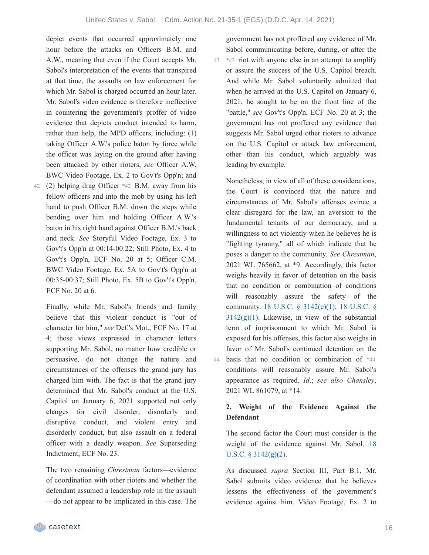depict events that occurred approximately one hour before the attacks on Officers B.M. and A.W., meaning that even if the Court accepts Mr. Sabol's interpretation of the events that transpired at that time, the assaults on law enforcement for which Mr. Sabol is charged occurred an hour later. Mr. Sabol's video evidence is therefore ineffective in countering the government's proffer of video evidence that depicts conduct intended to harm, rather than help, the MPD officers, including: (1) taking Officer A.W.'s police baton by force while the officer was laying on the ground after having been attacked by other rioters, *see* Officer A.W. BWC Video Footage, Ex. 2 to Gov't's Opp'n; and

(2) helping drag Officer \*42 B.M. away from his 42 fellow officers and into the mob by using his left hand to push Officer B.M. down the steps while bending over him and holding Officer A.W.'s baton in his right hand against Officer B.M.'s back and neck. *See* Storyful Video Footage, Ex. 3 to Gov't's Opp'n at 00:14-00:22; Still Photo, Ex. 4 to Gov't's Opp'n, ECF No. 20 at 5; Officer C.M. BWC Video Footage, Ex. 5A to Gov't's Opp'n at 00:35-00:37; Still Photo, Ex. 5B to Gov't's Opp'n, ECF No. 20 at 6.

Finally, while Mr. Sabol's friends and family believe that this violent conduct is "out of character for him," *see* Def.'s Mot., ECF No. 17 at 4; those views expressed in character letters supporting Mr. Sabol, no matter how credible or persuasive, do not change the nature and circumstances of the offenses the grand jury has charged him with. The fact is that the grand jury determined that Mr. Sabol's conduct at the U.S. Capitol on January 6, 2021 supported not only charges for civil disorder, disorderly and disruptive conduct, and violent entry and disorderly conduct, but also assault on a federal officer with a deadly weapon. *See* Superseding Indictment, ECF No. 23.

The two remaining *Chrestman* factors—evidence of coordination with other rioters and whether the defendant assumed a leadership role in the assault —do not appear to be implicated in this case. The

government has not proffered any evidence of Mr. Sabol communicating before, during, or after the \*43 riot with anyone else in an attempt to amplify 43 or assure the success of the U.S. Capitol breach. And while Mr. Sabol voluntarily admitted that when he arrived at the U.S. Capitol on January 6, 2021, he sought to be on the front line of the "battle," *see* Gov't's Opp'n, ECF No. 20 at 3; the government has not proffered any evidence that suggests Mr. Sabol urged other rioters to advance on the U.S. Capitol or attack law enforcement, other than his conduct, which arguably was leading by example.

Nonetheless, in view of all of these considerations, the Court is convinced that the nature and circumstances of Mr. Sabol's offenses evince a clear disregard for the law, an aversion to the fundamental tenants of our democracy, and a willingness to act violently when he believes he is "fighting tyranny," all of which indicate that he poses a danger to the community. *See Chrestman*, 2021 WL 765662, at \*9. Accordingly, this factor weighs heavily in favor of detention on the basis that no condition or combination of conditions will reasonably assure the safety of the [community.](https://casetext.com/statute/united-states-code/title-18-crimes-and-criminal-procedure/part-ii-criminal-procedure/chapter-207-release-and-detention-pending-judicial-proceedings/section-3142-release-or-detention-of-a-defendant-pending-trial) 18 U.S.C. § [3142\(e\)\(1\)](https://casetext.com/statute/united-states-code/title-18-crimes-and-criminal-procedure/part-ii-criminal-procedure/chapter-207-release-and-detention-pending-judicial-proceedings/section-3142-release-or-detention-of-a-defendant-pending-trial); 18 U.S.C. §  $3142(g)(1)$ . Likewise, in view of the substantial term of imprisonment to which Mr. Sabol is exposed for his offenses, this factor also weighs in favor of Mr. Sabol's continued detention on the basis that no condition or combination of \*44 44 conditions will reasonably assure Mr. Sabol's appearance as required. *Id*.; *see also Chansley*, 2021 WL 861079, at \*14.

# **2. Weight of the Evidence Against the Defendant**

The second factor the Court must consider is the weight of the evidence against Mr. Sabol. 18 U.S.C. § [3142\(g\)\(2\).](https://casetext.com/statute/united-states-code/title-18-crimes-and-criminal-procedure/part-ii-criminal-procedure/chapter-207-release-and-detention-pending-judicial-proceedings/section-3142-release-or-detention-of-a-defendant-pending-trial)

As discussed *supra* Section III, Part B.1, Mr. Sabol submits video evidence that he believes lessens the effectiveness of the government's evidence against him. Video Footage, Ex. 2 to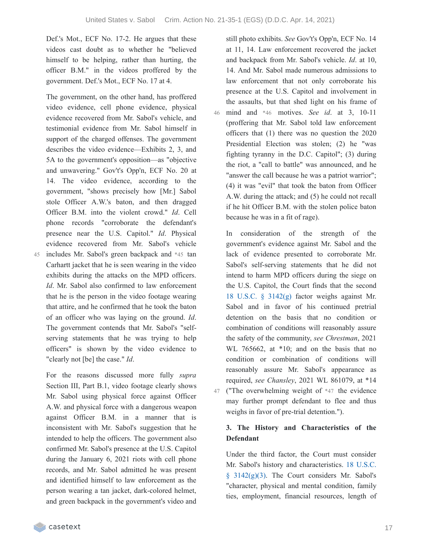Def.'s Mot., ECF No. 17-2. He argues that these videos cast doubt as to whether he "believed himself to be helping, rather than hurting, the officer B.M." in the videos proffered by the government. Def.'s Mot., ECF No. 17 at 4.

The government, on the other hand, has proffered video evidence, cell phone evidence, physical evidence recovered from Mr. Sabol's vehicle, and testimonial evidence from Mr. Sabol himself in support of the charged offenses. The government describes the video evidence—Exhibits 2, 3, and 5A to the government's opposition—as "objective and unwavering." Gov't's Opp'n, ECF No. 20 at 14. The video evidence, according to the government, "shows precisely how [Mr.] Sabol stole Officer A.W.'s baton, and then dragged Officer B.M. into the violent crowd." *Id*. Cell phone records "corroborate the defendant's presence near the U.S. Capitol." *Id*. Physical evidence recovered from Mr. Sabol's vehicle includes Mr. Sabol's green backpack and \*45 tan 45 Carhartt jacket that he is seen wearing in the video exhibits during the attacks on the MPD officers. *Id*. Mr. Sabol also confirmed to law enforcement that he is the person in the video footage wearing that attire, and he confirmed that he took the baton of an officer who was laying on the ground. *Id*. The government contends that Mr. Sabol's "selfserving statements that he was trying to help officers" is shown by the video evidence to "clearly not [be] the case." *Id*.

For the reasons discussed more fully *supra* Section III, Part B.1, video footage clearly shows Mr. Sabol using physical force against Officer A.W. and physical force with a dangerous weapon against Officer B.M. in a manner that is inconsistent with Mr. Sabol's suggestion that he intended to help the officers. The government also confirmed Mr. Sabol's presence at the U.S. Capitol during the January 6, 2021 riots with cell phone records, and Mr. Sabol admitted he was present and identified himself to law enforcement as the person wearing a tan jacket, dark-colored helmet, and green backpack in the government's video and

still photo exhibits. *See* Gov't's Opp'n, ECF No. 14 at 11, 14. Law enforcement recovered the jacket and backpack from Mr. Sabol's vehicle. *Id*. at 10, 14. And Mr. Sabol made numerous admissions to law enforcement that not only corroborate his presence at the U.S. Capitol and involvement in the assaults, but that shed light on his frame of mind and \*46 motives. *See id*. at 3, 10-11 (proffering that Mr. Sabol told law enforcement officers that (1) there was no question the 2020 Presidential Election was stolen; (2) he "was fighting tyranny in the D.C. Capitol"; (3) during the riot, a "call to battle" was announced, and he "answer the call because he was a patriot warrior"; (4) it was "evil" that took the baton from Officer A.W. during the attack; and (5) he could not recall if he hit Officer B.M. with the stolen police baton because he was in a fit of rage). 46

In consideration of the strength of the government's evidence against Mr. Sabol and the lack of evidence presented to corroborate Mr. Sabol's self-serving statements that he did not intend to harm MPD officers during the siege on the U.S. Capitol, the Court finds that the second 18 U.S.C. § [3142\(g\)](https://casetext.com/statute/united-states-code/title-18-crimes-and-criminal-procedure/part-ii-criminal-procedure/chapter-207-release-and-detention-pending-judicial-proceedings/section-3142-release-or-detention-of-a-defendant-pending-trial) factor weighs against Mr. Sabol and in favor of his continued pretrial detention on the basis that no condition or combination of conditions will reasonably assure the safety of the community, *see Chrestman*, 2021 WL 765662, at  $*10$ ; and on the basis that no condition or combination of conditions will reasonably assure Mr. Sabol's appearance as required, *see Chansley*, 2021 WL 861079, at \*14 ("The overwhelming weight of \*47 the evidence 47 may further prompt defendant to flee and thus weighs in favor of pre-trial detention.").

# **3. The History and Characteristics of the Defendant**

Under the third factor, the Court must consider Mr. Sabol's history and [characteristics.](https://casetext.com/statute/united-states-code/title-18-crimes-and-criminal-procedure/part-ii-criminal-procedure/chapter-207-release-and-detention-pending-judicial-proceedings/section-3142-release-or-detention-of-a-defendant-pending-trial) 18 U.S.C. § 3142(g)(3). The Court considers Mr. Sabol's "character, physical and mental condition, family ties, employment, financial resources, length of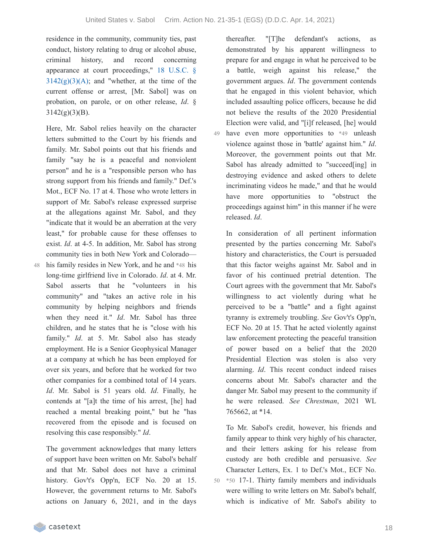residence in the community, community ties, past conduct, history relating to drug or alcohol abuse, criminal history, and record concerning appearance at court proceedings," 18 U.S.C. §  $3142(g)(3)(A)$ ; and "whether, at the time of the current offense or arrest, [Mr. Sabol] was on probation, on parole, or on other release, *Id*. §  $3142(g)(3)(B)$ .

Here, Mr. Sabol relies heavily on the character letters submitted to the Court by his friends and family. Mr. Sabol points out that his friends and family "say he is a peaceful and nonviolent person" and he is a "responsible person who has strong support from his friends and family." Def.'s Mot., ECF No. 17 at 4. Those who wrote letters in support of Mr. Sabol's release expressed surprise at the allegations against Mr. Sabol, and they "indicate that it would be an aberration at the very least," for probable cause for these offenses to exist. *Id*. at 4-5. In addition, Mr. Sabol has strong community ties in both New York and Colorado—

his family resides in New York, and he and \*48 his long-time girlfriend live in Colorado. *Id*. at 4. Mr. Sabol asserts that he "volunteers in his community" and "takes an active role in his community by helping neighbors and friends when they need it." *Id*. Mr. Sabol has three children, and he states that he is "close with his family." *Id*. at 5. Mr. Sabol also has steady employment. He is a Senior Geophysical Manager at a company at which he has been employed for over six years, and before that he worked for two other companies for a combined total of 14 years. *Id*. Mr. Sabol is 51 years old. *Id*. Finally, he contends at "[a]t the time of his arrest, [he] had reached a mental breaking point," but he "has recovered from the episode and is focused on resolving this case responsibly." *Id*.

The government acknowledges that many letters of support have been written on Mr. Sabol's behalf and that Mr. Sabol does not have a criminal history. Gov't's Opp'n, ECF No. 20 at 15. However, the government returns to Mr. Sabol's actions on January 6, 2021, and in the days

thereafter. "[T]he defendant's actions, as demonstrated by his apparent willingness to prepare for and engage in what he perceived to be a battle, weigh against his release," the government argues. *Id*. The government contends that he engaged in this violent behavior, which included assaulting police officers, because he did not believe the results of the 2020 Presidential Election were valid, and "[i]f released, [he] would have even more opportunities to \*49 unleash violence against those in 'battle' against him." *Id*. Moreover, the government points out that Mr. Sabol has already admitted to "succeed[ing] in destroying evidence and asked others to delete incriminating videos he made," and that he would have more opportunities to "obstruct the proceedings against him" in this manner if he were released. *Id*.

In consideration of all pertinent information presented by the parties concerning Mr. Sabol's history and characteristics, the Court is persuaded that this factor weighs against Mr. Sabol and in favor of his continued pretrial detention. The Court agrees with the government that Mr. Sabol's willingness to act violently during what he perceived to be a "battle" and a fight against tyranny is extremely troubling. *See* Gov't's Opp'n, ECF No. 20 at 15. That he acted violently against law enforcement protecting the peaceful transition of power based on a belief that the 2020 Presidential Election was stolen is also very alarming. *Id*. This recent conduct indeed raises concerns about Mr. Sabol's character and the danger Mr. Sabol may present to the community if he were released. *See Chrestman*, 2021 WL 765662, at \*14.

To Mr. Sabol's credit, however, his friends and family appear to think very highly of his character, and their letters asking for his release from custody are both credible and persuasive. *See* Character Letters, Ex. 1 to Def.'s Mot., ECF No. \*50 17-1. Thirty family members and individuals 50 were willing to write letters on Mr. Sabol's behalf, which is indicative of Mr. Sabol's ability to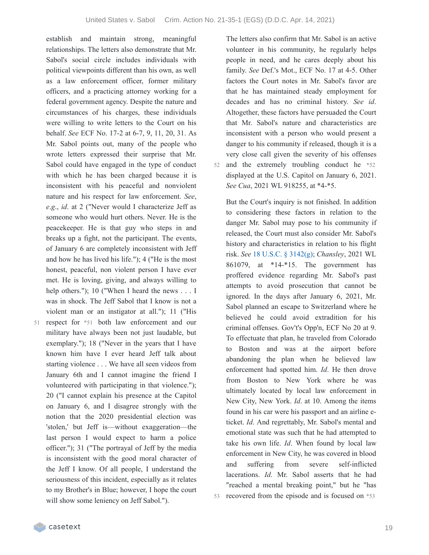establish and maintain strong, meaningful relationships. The letters also demonstrate that Mr. Sabol's social circle includes individuals with political viewpoints different than his own, as well as a law enforcement officer, former military officers, and a practicing attorney working for a federal government agency. Despite the nature and circumstances of his charges, these individuals were willing to write letters to the Court on his behalf. *See* ECF No. 17-2 at 6-7, 9, 11, 20, 31. As Mr. Sabol points out, many of the people who wrote letters expressed their surprise that Mr. Sabol could have engaged in the type of conduct with which he has been charged because it is inconsistent with his peaceful and nonviolent nature and his respect for law enforcement. *See*, *e*.*g*., *id*. at 2 ("Never would I characterize Jeff as someone who would hurt others. Never. He is the peacekeeper. He is that guy who steps in and breaks up a fight, not the participant. The events, of January 6 are completely inconsistent with Jeff and how he has lived his life."); 4 ("He is the most honest, peaceful, non violent person I have ever met. He is loving, giving, and always willing to help others."); 10 ("When I heard the news . . . I was in shock. The Jeff Sabol that I know is not a violent man or an instigator at all."); 11 ("His 51 respect for  $*$ 51 both law enforcement and our military have always been not just laudable, but exemplary."); 18 ("Never in the years that I have known him have I ever heard Jeff talk about starting violence . . . We have all seen videos from January 6th and I cannot imagine the friend I volunteered with participating in that violence."); 20 ("I cannot explain his presence at the Capitol on January 6, and I disagree strongly with the notion that the 2020 presidential election was 'stolen,' but Jeff is—without exaggeration—the last person I would expect to harm a police officer."); 31 ("The portrayal of Jeff by the media

is inconsistent with the good moral character of the Jeff I know. Of all people, I understand the seriousness of this incident, especially as it relates to my Brother's in Blue; however, I hope the court

will show some leniency on Jeff Sabol.").

The letters also confirm that Mr. Sabol is an active volunteer in his community, he regularly helps people in need, and he cares deeply about his family. *See* Def.'s Mot., ECF No. 17 at 4-5. Other factors the Court notes in Mr. Sabol's favor are that he has maintained steady employment for decades and has no criminal history. *See id*. Altogether, these factors have persuaded the Court that Mr. Sabol's nature and characteristics are inconsistent with a person who would present a danger to his community if released, though it is a very close call given the severity of his offenses 52 and the extremely troubling conduct he \*52 displayed at the U.S. Capitol on January 6, 2021. *See Cua*, 2021 WL 918255, at \*4-\*5.

But the Court's inquiry is not finished. In addition to considering these factors in relation to the danger Mr. Sabol may pose to his community if released, the Court must also consider Mr. Sabol's history and characteristics in relation to his flight risk. *See* 18 U.S.C. § [3142\(g\);](https://casetext.com/statute/united-states-code/title-18-crimes-and-criminal-procedure/part-ii-criminal-procedure/chapter-207-release-and-detention-pending-judicial-proceedings/section-3142-release-or-detention-of-a-defendant-pending-trial) *Chansley*, 2021 WL 861079, at \*14-\*15. The government has proffered evidence regarding Mr. Sabol's past attempts to avoid prosecution that cannot be ignored. In the days after January 6, 2021, Mr. Sabol planned an escape to Switzerland where he believed he could avoid extradition for his criminal offenses. Gov't's Opp'n, ECF No 20 at 9. To effectuate that plan, he traveled from Colorado to Boston and was at the airport before abandoning the plan when he believed law enforcement had spotted him. *Id*. He then drove from Boston to New York where he was ultimately located by local law enforcement in New City, New York. *Id*. at 10. Among the items found in his car were his passport and an airline eticket. *Id*. And regrettably, Mr. Sabol's mental and emotional state was such that he had attempted to take his own life. *Id*. When found by local law enforcement in New City, he was covered in blood and suffering from severe self-inflicted lacerations. *Id*. Mr. Sabol asserts that he had "reached a mental breaking point," but he "has 53 recovered from the episode and is focused on \*53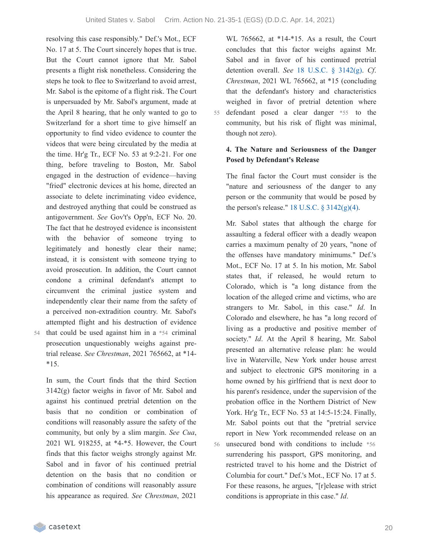resolving this case responsibly." Def.'s Mot., ECF No. 17 at 5. The Court sincerely hopes that is true. But the Court cannot ignore that Mr. Sabol presents a flight risk nonetheless. Considering the steps he took to flee to Switzerland to avoid arrest, Mr. Sabol is the epitome of a flight risk. The Court is unpersuaded by Mr. Sabol's argument, made at the April 8 hearing, that he only wanted to go to Switzerland for a short time to give himself an opportunity to find video evidence to counter the videos that were being circulated by the media at the time. Hr'g Tr., ECF No. 53 at 9:2-21. For one thing, before traveling to Boston, Mr. Sabol engaged in the destruction of evidence—having "fried" electronic devices at his home, directed an associate to delete incriminating video evidence, and destroyed anything that could be construed as antigovernment. *See* Gov't's Opp'n, ECF No. 20. The fact that he destroyed evidence is inconsistent with the behavior of someone trying to legitimately and honestly clear their name; instead, it is consistent with someone trying to avoid prosecution. In addition, the Court cannot condone a criminal defendant's attempt to circumvent the criminal justice system and independently clear their name from the safety of a perceived non-extradition country. Mr. Sabol's attempted flight and his destruction of evidence that could be used against him in a \*54 criminal prosecution unquestionably weighs against pretrial release. *See Chrestman*, 2021 765662, at \*14-

In sum, the Court finds that the third Section 3142(g) factor weighs in favor of Mr. Sabol and against his continued pretrial detention on the basis that no condition or combination of conditions will reasonably assure the safety of the community, but only by a slim margin. *See Cua*, 2021 WL 918255, at \*4-\*5. However, the Court finds that this factor weighs strongly against Mr. Sabol and in favor of his continued pretrial detention on the basis that no condition or combination of conditions will reasonably assure his appearance as required. *See Chrestman*, 2021

WL 765662, at \*14-\*15. As a result, the Court concludes that this factor weighs against Mr. Sabol and in favor of his continued pretrial detention overall. *See* 18 U.S.C. § [3142\(g\).](https://casetext.com/statute/united-states-code/title-18-crimes-and-criminal-procedure/part-ii-criminal-procedure/chapter-207-release-and-detention-pending-judicial-proceedings/section-3142-release-or-detention-of-a-defendant-pending-trial) *Cf*. *Chrestman*, 2021 WL 765662, at \*15 (concluding that the defendant's history and characteristics weighed in favor of pretrial detention where defendant posed a clear danger \*55 to the community, but his risk of flight was minimal, though not zero). 55

### **4. The Nature and Seriousness of the Danger Posed by Defendant's Release**

The final factor the Court must consider is the "nature and seriousness of the danger to any person or the community that would be posed by the person's release."  $18$  U.S.C.  $\S$  [3142\(g\)\(4\).](https://casetext.com/statute/united-states-code/title-18-crimes-and-criminal-procedure/part-ii-criminal-procedure/chapter-207-release-and-detention-pending-judicial-proceedings/section-3142-release-or-detention-of-a-defendant-pending-trial)

Mr. Sabol states that although the charge for assaulting a federal officer with a deadly weapon carries a maximum penalty of 20 years, "none of the offenses have mandatory minimums." Def.'s Mot., ECF No. 17 at 5. In his motion, Mr. Sabol states that, if released, he would return to Colorado, which is "a long distance from the location of the alleged crime and victims, who are strangers to Mr. Sabol, in this case." *Id*. In Colorado and elsewhere, he has "a long record of living as a productive and positive member of society." *Id*. At the April 8 hearing, Mr. Sabol presented an alternative release plan: he would live in Waterville, New York under house arrest and subject to electronic GPS monitoring in a home owned by his girlfriend that is next door to his parent's residence, under the supervision of the probation office in the Northern District of New York. Hr'g Tr., ECF No. 53 at 14:5-15:24. Finally, Mr. Sabol points out that the "pretrial service report in New York recommended release on an unsecured bond with conditions to include \*56 56 surrendering his passport, GPS monitoring, and restricted travel to his home and the District of Columbia for court." Def.'s Mot., ECF No. 17 at 5. For these reasons, he argues, "[r]elease with strict conditions is appropriate in this case." *Id*.

 $*15.$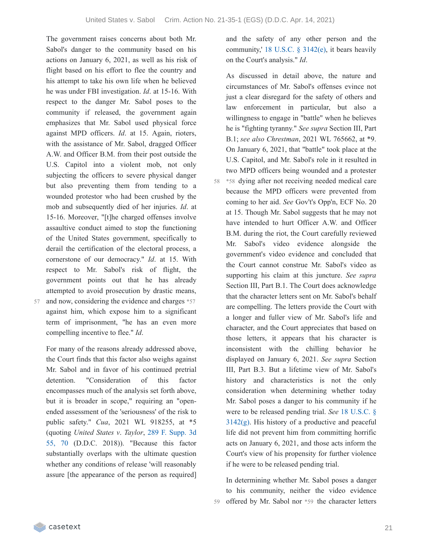The government raises concerns about both Mr. Sabol's danger to the community based on his actions on January 6, 2021, as well as his risk of flight based on his effort to flee the country and his attempt to take his own life when he believed he was under FBI investigation. *Id*. at 15-16. With respect to the danger Mr. Sabol poses to the community if released, the government again emphasizes that Mr. Sabol used physical force against MPD officers. *Id*. at 15. Again, rioters, with the assistance of Mr. Sabol, dragged Officer A.W. and Officer B.M. from their post outside the U.S. Capitol into a violent mob, not only subjecting the officers to severe physical danger but also preventing them from tending to a wounded protestor who had been crushed by the mob and subsequently died of her injuries. *Id*. at 15-16. Moreover, "[t]he charged offenses involve assaultive conduct aimed to stop the functioning of the United States government, specifically to derail the certification of the electoral process, a cornerstone of our democracy." *Id*. at 15. With respect to Mr. Sabol's risk of flight, the government points out that he has already attempted to avoid prosecution by drastic means,

57

and now, considering the evidence and charges \*57 against him, which expose him to a significant term of imprisonment, "he has an even more compelling incentive to flee." *Id*.

For many of the reasons already addressed above, the Court finds that this factor also weighs against Mr. Sabol and in favor of his continued pretrial detention. "Consideration of this factor encompasses much of the analysis set forth above, but it is broader in scope," requiring an "openended assessment of the 'seriousness' of the risk to public safety." *Cua*, 2021 WL 918255, at \*5 (quoting *United States v*. *Taylor*, 289 F. Supp. 3d 55, 70 (D.D.C. 2018)). ["Because](https://casetext.com/case/united-states-v-taylor-915#p70) this factor substantially overlaps with the ultimate question whether any conditions of release 'will reasonably assure [the appearance of the person as required] and the safety of any other person and the community,' 18 U.S.C. § [3142\(e\)](https://casetext.com/statute/united-states-code/title-18-crimes-and-criminal-procedure/part-ii-criminal-procedure/chapter-207-release-and-detention-pending-judicial-proceedings/section-3142-release-or-detention-of-a-defendant-pending-trial), it bears heavily on the Court's analysis." *Id*.

As discussed in detail above, the nature and circumstances of Mr. Sabol's offenses evince not just a clear disregard for the safety of others and law enforcement in particular, but also a willingness to engage in "battle" when he believes he is "fighting tyranny." *See supra* Section III, Part B.1; *see also Chrestman*, 2021 WL 765662, at \*9. On January 6, 2021, that "battle" took place at the U.S. Capitol, and Mr. Sabol's role in it resulted in two MPD officers being wounded and a protester \*58 dying after not receiving needed medical care 58 because the MPD officers were prevented from coming to her aid. *See* Gov't's Opp'n, ECF No. 20 at 15. Though Mr. Sabol suggests that he may not have intended to hurt Officer A.W. and Officer B.M. during the riot, the Court carefully reviewed Mr. Sabol's video evidence alongside the government's video evidence and concluded that the Court cannot construe Mr. Sabol's video as supporting his claim at this juncture. *See supra* Section III, Part B.1. The Court does acknowledge that the character letters sent on Mr. Sabol's behalf are compelling. The letters provide the Court with a longer and fuller view of Mr. Sabol's life and character, and the Court appreciates that based on those letters, it appears that his character is inconsistent with the chilling behavior he displayed on January 6, 2021. *See supra* Section III, Part B.3. But a lifetime view of Mr. Sabol's history and characteristics is not the only consideration when determining whether today Mr. Sabol poses a danger to his community if he were to be released pending trial. *See* 18 U.S.C. §  $3142(g)$ . His history of a [productive](https://casetext.com/statute/united-states-code/title-18-crimes-and-criminal-procedure/part-ii-criminal-procedure/chapter-207-release-and-detention-pending-judicial-proceedings/section-3142-release-or-detention-of-a-defendant-pending-trial) and peaceful life did not prevent him from committing horrific acts on January 6, 2021, and those acts inform the Court's view of his propensity for further violence if he were to be released pending trial.

In determining whether Mr. Sabol poses a danger to his community, neither the video evidence 59 offered by Mr. Sabol nor \*59 the character letters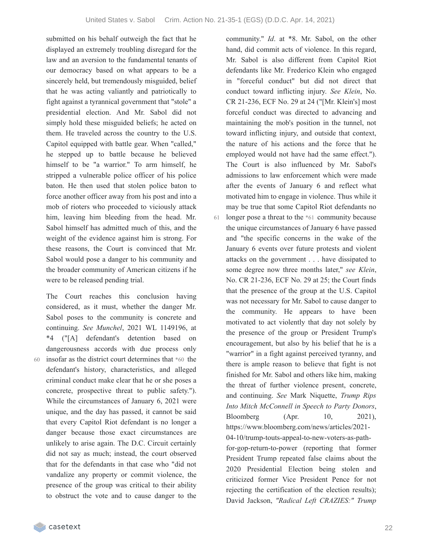submitted on his behalf outweigh the fact that he displayed an extremely troubling disregard for the law and an aversion to the fundamental tenants of our democracy based on what appears to be a sincerely held, but tremendously misguided, belief that he was acting valiantly and patriotically to fight against a tyrannical government that "stole" a presidential election. And Mr. Sabol did not simply hold these misguided beliefs; he acted on them. He traveled across the country to the U.S. Capitol equipped with battle gear. When "called," he stepped up to battle because he believed himself to be "a warrior." To arm himself, he stripped a vulnerable police officer of his police baton. He then used that stolen police baton to force another officer away from his post and into a mob of rioters who proceeded to viciously attack him, leaving him bleeding from the head. Mr. Sabol himself has admitted much of this, and the weight of the evidence against him is strong. For these reasons, the Court is convinced that Mr. Sabol would pose a danger to his community and the broader community of American citizens if he were to be released pending trial.

60

considered, as it must, whether the danger Mr. Sabol poses to the community is concrete and continuing. *See Munchel*, 2021 WL 1149196, at \*4 ("[A] defendant's detention based on dangerousness accords with due process only insofar as the district court determines that \*60 the defendant's history, characteristics, and alleged criminal conduct make clear that he or she poses a concrete, prospective threat to public safety."). While the circumstances of January 6, 2021 were unique, and the day has passed, it cannot be said that every Capitol Riot defendant is no longer a danger because those exact circumstances are unlikely to arise again. The D.C. Circuit certainly did not say as much; instead, the court observed that for the defendants in that case who "did not vandalize any property or commit violence, the presence of the group was critical to their ability to obstruct the vote and to cause danger to the

The Court reaches this conclusion having

community." *Id*. at \*8. Mr. Sabol, on the other hand, did commit acts of violence. In this regard, Mr. Sabol is also different from Capitol Riot defendants like Mr. Frederico Klein who engaged in "forceful conduct" but did not direct that conduct toward inflicting injury. *See Klein*, No. CR 21-236, ECF No. 29 at 24 ("[Mr. Klein's] most forceful conduct was directed to advancing and maintaining the mob's position in the tunnel, not toward inflicting injury, and outside that context, the nature of his actions and the force that he employed would not have had the same effect."). The Court is also influenced by Mr. Sabol's admissions to law enforcement which were made after the events of January 6 and reflect what motivated him to engage in violence. Thus while it may be true that some Capitol Riot defendants no longer pose a threat to the \*61 community because the unique circumstances of January 6 have passed and "the specific concerns in the wake of the January 6 events over future protests and violent attacks on the government . . . have dissipated to some degree now three months later," *see Klein*, No. CR 21-236, ECF No. 29 at 25; the Court finds that the presence of the group at the U.S. Capitol was not necessary for Mr. Sabol to cause danger to the community. He appears to have been motivated to act violently that day not solely by the presence of the group or President Trump's encouragement, but also by his belief that he is a "warrior" in a fight against perceived tyranny, and there is ample reason to believe that fight is not finished for Mr. Sabol and others like him, making the threat of further violence present, concrete, and continuing. *See* Mark Niquette, *Trump Rips Into Mitch McConnell in Speech to Party Donors*, Bloomberg (Apr. 10, 2021), https://www.bloomberg.com/news/articles/2021- 04-10/trump-touts-appeal-to-new-voters-as-pathfor-gop-return-to-power (reporting that former President Trump repeated false claims about the 2020 Presidential Election being stolen and criticized former Vice President Pence for not rejecting the certification of the election results); David Jackson, *"Radical Left CRAZIES:" Trump*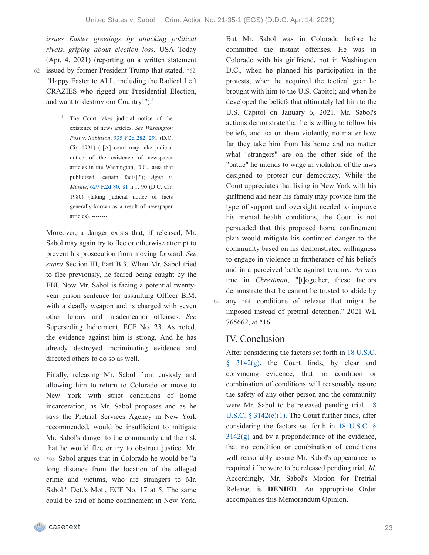*issues Easter greetings by attacking political rivals*, *griping about election loss*, USA Today (Apr. 4, 2021) (reporting on a written statement issued by former President Trump that stated, \*62 62 "Happy Easter to ALL, including the Radical Left CRAZIES who rigged our Presidential Election, and want to destroy our Country!").<sup>[11](https://casetext.com/_print/doc/united-states-v-sabol-1?_printIncludeHighlights=false&_printIncludeKeyPassages=false&_printIsTwoColumn=true&_printEmail=&_printHighlightsKey=#N198034)</sup>

> 11 The Court takes judicial notice of the existence of news articles. *See Washington Post v*. *Robinson*, 935 F.2d [282,](https://casetext.com/case/washington-post-v-robinson#p291) 291 (D.C. Cir. 1991) ("[A] court may take judicial notice of the existence of newspaper articles in the Washington, D.C., area that publicized [certain facts]."); *Agee v*. *Muskie*, 629 [F.2d](https://casetext.com/case/agee-v-muskie#p81) 80, 81 n.1, 90 (D.C. Cir. 1980) (taking judicial notice of facts generally known as a result of newspaper articles). --------

Moreover, a danger exists that, if released, Mr. Sabol may again try to flee or otherwise attempt to prevent his prosecution from moving forward. *See supra* Section III, Part B.3. When Mr. Sabol tried to flee previously, he feared being caught by the FBI. Now Mr. Sabol is facing a potential twentyyear prison sentence for assaulting Officer B.M. with a deadly weapon and is charged with seven other felony and misdemeanor offenses. *See* Superseding Indictment, ECF No. 23. As noted, the evidence against him is strong. And he has already destroyed incriminating evidence and directed others to do so as well.

Finally, releasing Mr. Sabol from custody and allowing him to return to Colorado or move to New York with strict conditions of home incarceration, as Mr. Sabol proposes and as he says the Pretrial Services Agency in New York recommended, would be insufficient to mitigate Mr. Sabol's danger to the community and the risk that he would flee or try to obstruct justice. Mr.

\*63 Sabol argues that in Colorado he would be "a long distance from the location of the alleged crime and victims, who are strangers to Mr. Sabol." Def.'s Mot., ECF No. 17 at 5. The same could be said of home confinement in New York. 63

But Mr. Sabol was in Colorado before he committed the instant offenses. He was in Colorado with his girlfriend, not in Washington D.C., when he planned his participation in the protests; when he acquired the tactical gear he brought with him to the U.S. Capitol; and when he developed the beliefs that ultimately led him to the U.S. Capitol on January 6, 2021. Mr. Sabol's actions demonstrate that he is willing to follow his beliefs, and act on them violently, no matter how far they take him from his home and no matter what "strangers" are on the other side of the "battle" he intends to wage in violation of the laws designed to protect our democracy. While the Court appreciates that living in New York with his girlfriend and near his family may provide him the type of support and oversight needed to improve his mental health conditions, the Court is not persuaded that this proposed home confinement plan would mitigate his continued danger to the community based on his demonstrated willingness to engage in violence in furtherance of his beliefs and in a perceived battle against tyranny. As was true in *Chrestman*, "[t]ogether, these factors demonstrate that he cannot be trusted to abide by any \*64 conditions of release that might be imposed instead of pretrial detention." 2021 WL 765662, at \*16.

# IV. Conclusion

64

After [considering](https://casetext.com/statute/united-states-code/title-18-crimes-and-criminal-procedure/part-ii-criminal-procedure/chapter-207-release-and-detention-pending-judicial-proceedings/section-3142-release-or-detention-of-a-defendant-pending-trial) the factors set forth in 18 U.S.C.  $§$  3142(g), the Court finds, by clear and convincing evidence, that no condition or combination of conditions will reasonably assure the safety of any other person and the community were Mr. Sabol to be released pending trial. 18 U.S.C. § [3142\(e\)\(1\).](https://casetext.com/statute/united-states-code/title-18-crimes-and-criminal-procedure/part-ii-criminal-procedure/chapter-207-release-and-detention-pending-judicial-proceedings/section-3142-release-or-detention-of-a-defendant-pending-trial) The Court further finds, after considering the factors set forth in 18 U.S.C. §  $3142(g)$  and by a [preponderance](https://casetext.com/statute/united-states-code/title-18-crimes-and-criminal-procedure/part-ii-criminal-procedure/chapter-207-release-and-detention-pending-judicial-proceedings/section-3142-release-or-detention-of-a-defendant-pending-trial) of the evidence, that no condition or combination of conditions will reasonably assure Mr. Sabol's appearance as required if he were to be released pending trial. *Id*. Accordingly, Mr. Sabol's Motion for Pretrial Release, is **DENIED**. An appropriate Order accompanies this Memorandum Opinion.